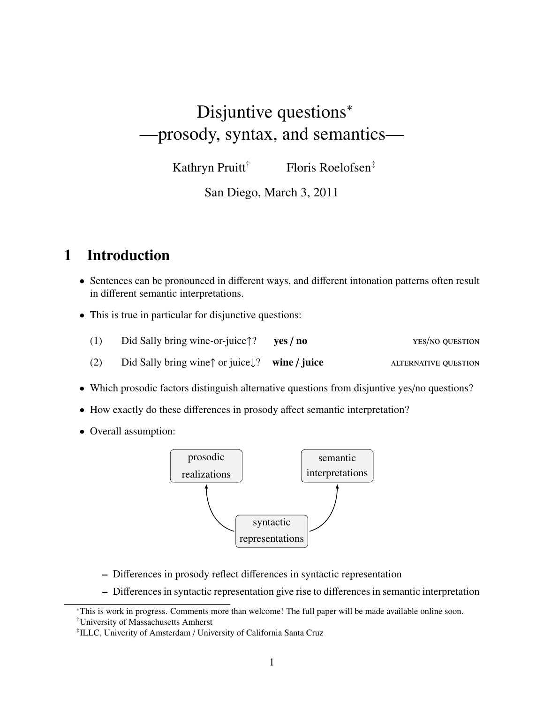# Disjuntive questions<sup>∗</sup> —prosody, syntax, and semantics—

Kathryn Pruitt<sup>†</sup> Floris Roelofsen<sup>‡</sup>

San Diego, March 3, 2011

# 1 Introduction

- Sentences can be pronounced in different ways, and different intonation patterns often result in different semantic interpretations.
- This is true in particular for disjunctive questions:

| Did Sally bring wine-or-juice $\uparrow$ ? yes / no                  | YES/NO OUESTION             |
|----------------------------------------------------------------------|-----------------------------|
| Did Sally bring wine $\uparrow$ or juice $\downarrow$ ? wine / juice | <b>ALTERNATIVE OUESTION</b> |

- Which prosodic factors distinguish alternative questions from disjuntive yes/no questions?
- How exactly do these differences in prosody affect semantic interpretation?
- Overall assumption:



- Differences in prosody reflect differences in syntactic representation
- Differences in syntactic representation give rise to differences in semantic interpretation

<sup>∗</sup>This is work in progress. Comments more than welcome! The full paper will be made available online soon. †University of Massachusetts Amherst

<sup>‡</sup> ILLC, Univerity of Amsterdam / University of California Santa Cruz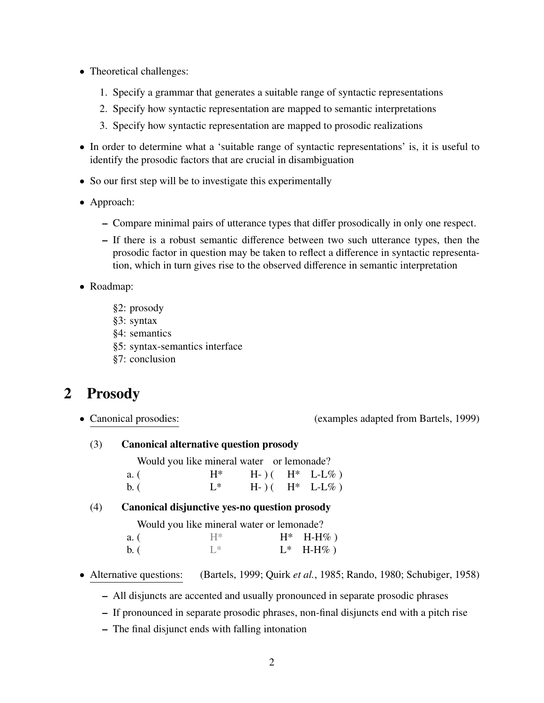- Theoretical challenges:
	- 1. Specify a grammar that generates a suitable range of syntactic representations
	- 2. Specify how syntactic representation are mapped to semantic interpretations
	- 3. Specify how syntactic representation are mapped to prosodic realizations
- In order to determine what a 'suitable range of syntactic representations' is, it is useful to identify the prosodic factors that are crucial in disambiguation
- So our first step will be to investigate this experimentally
- Approach:
	- Compare minimal pairs of utterance types that differ prosodically in only one respect.
	- If there is a robust semantic difference between two such utterance types, then the prosodic factor in question may be taken to reflect a difference in syntactic representation, which in turn gives rise to the observed difference in semantic interpretation
- Roadmap:
	- §2: prosody
	- §3: syntax
	- §4: semantics
	- §5: syntax-semantics interface
	- §7: conclusion

# 2 Prosody

• Canonical prosodies: (examples adapted from Bartels, 1999)

(3) Canonical alternative question prosody

Would you like mineral water or lemonade? a. (  $H^*$  H- ) ( $H^*$  L-L%) b. (  $L^*$  H- ) ( $H^*$  L-L%)

#### (4) Canonical disjunctive yes-no question prosody

|      | Would you like mineral water or lemonade? |             |
|------|-------------------------------------------|-------------|
| a. ( | $H^*$                                     | $H^*$ H-H%) |
| b. ( | ⊺ *                                       | $L^*$ H-H%) |

- Alternative questions: (Bartels, 1999; Quirk *et al.*, 1985; Rando, 1980; Schubiger, 1958)
	- All disjuncts are accented and usually pronounced in separate prosodic phrases
	- If pronounced in separate prosodic phrases, non-final disjuncts end with a pitch rise
	- The final disjunct ends with falling intonation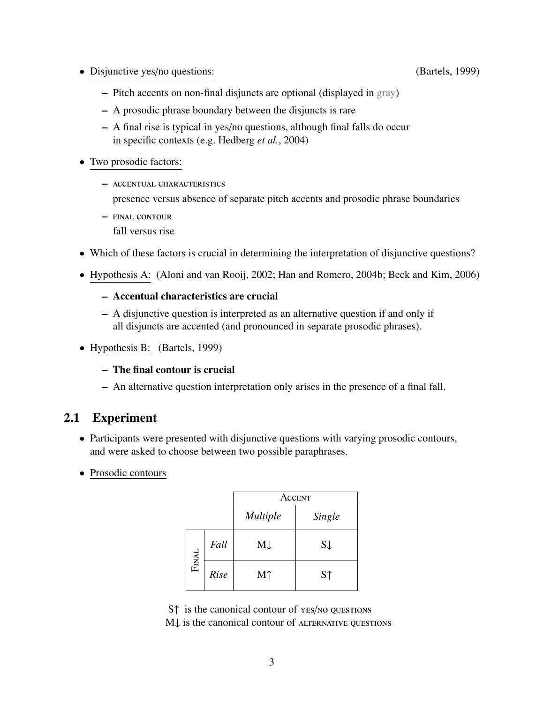• Disjunctive yes/no questions: (Bartels, 1999)

- Pitch accents on non-final disjuncts are optional (displayed in gray)
- A prosodic phrase boundary between the disjuncts is rare
- A final rise is typical in yes/no questions, although final falls do occur in specific contexts (e.g. Hedberg *et al.*, 2004)
- Two prosodic factors:
	- accentual characteristics presence versus absence of separate pitch accents and prosodic phrase boundaries
	- final contour
		- fall versus rise
- Which of these factors is crucial in determining the interpretation of disjunctive questions?
- Hypothesis A: (Aloni and van Rooij, 2002; Han and Romero, 2004b; Beck and Kim, 2006)
	- Accentual characteristics are crucial
	- A disjunctive question is interpreted as an alternative question if and only if all disjuncts are accented (and pronounced in separate prosodic phrases).
- Hypothesis B: (Bartels, 1999)
	- The final contour is crucial
	- An alternative question interpretation only arises in the presence of a final fall.

# 2.1 Experiment

- Participants were presented with disjunctive questions with varying prosodic contours, and were asked to choose between two possible paraphrases.
- Prosodic contours

|       |             | ACCENT          |                |
|-------|-------------|-----------------|----------------|
|       |             | <b>Multiple</b> | Single         |
| FINAL | Fall        | $M\downarrow$   | $S \downarrow$ |
|       | <b>Rise</b> | M <sub>1</sub>  | S <sub>1</sub> |

S↑ is the canonical contour of yes/no questions M↓ is the canonical contour of ALTERNATIVE QUESTIONS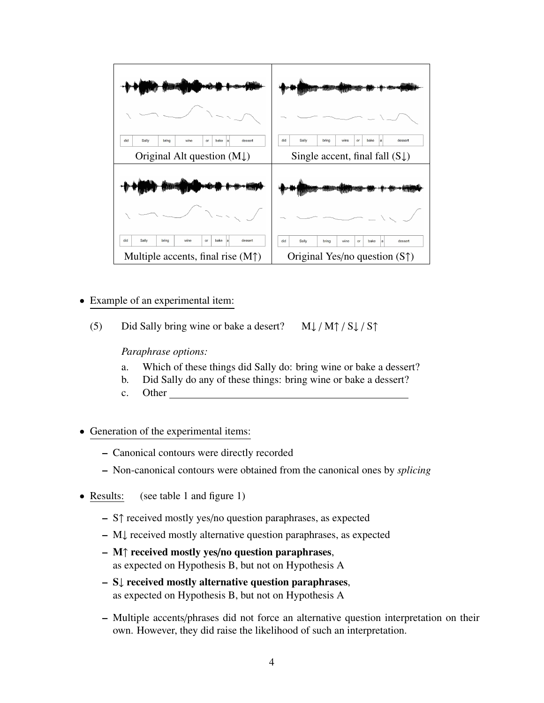

- Example of an experimental item:
	- (5) Did Sally bring wine or bake a desert?  $M\downarrow / M\uparrow / S\downarrow / S\uparrow$

*Paraphrase options:*

- a. Which of these things did Sally do: bring wine or bake a dessert?
- b. Did Sally do any of these things: bring wine or bake a dessert?
- c. Other
- Generation of the experimental items:
	- Canonical contours were directly recorded
	- Non-canonical contours were obtained from the canonical ones by *splicing*
- Results: (see table 1 and figure 1)
	- S↑ received mostly yes/no question paraphrases, as expected
	- M↓ received mostly alternative question paraphrases, as expected
	- M↑ received mostly yes/no question paraphrases, as expected on Hypothesis B, but not on Hypothesis A
	- S↓ received mostly alternative question paraphrases, as expected on Hypothesis B, but not on Hypothesis A
	- Multiple accents/phrases did not force an alternative question interpretation on their own. However, they did raise the likelihood of such an interpretation.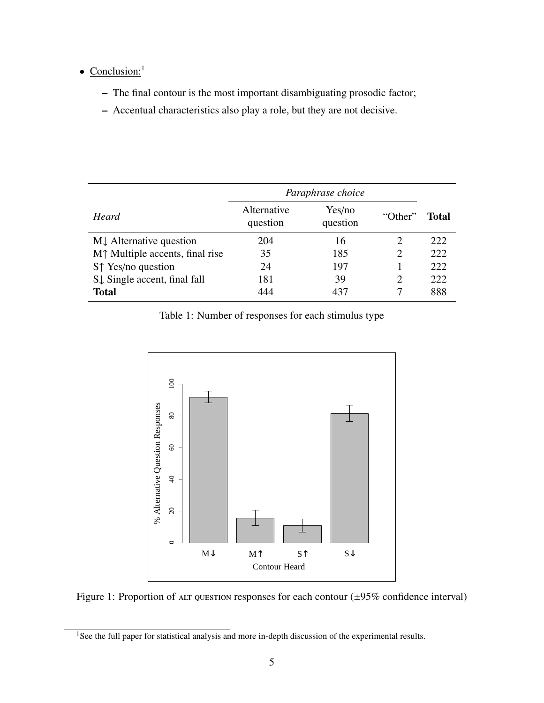### • Conclusion:<sup>1</sup>

- The final contour is the most important disambiguating prosodic factor;
- Accentual characteristics also play a role, but they are not decisive.

|                                         | Paraphrase choice       |                    |                             |       |
|-----------------------------------------|-------------------------|--------------------|-----------------------------|-------|
| Heard                                   | Alternative<br>question | Yes/no<br>question | "Other"                     | Total |
| MJ Alternative question                 | 204                     | 16                 | 2                           | 222   |
| $M†$ Multiple accents, final rise       | 35                      | 185                | 2                           | 222   |
| $S \uparrow Yes/no$ question            | 24                      | 197                |                             | 222   |
| $S\downarrow$ Single accent, final fall | 181                     | 39                 | $\mathcal{D}_{\mathcal{A}}$ | 222   |
| <b>Total</b>                            | 444                     | 437                |                             | 888   |

Table 1: Number of responses for each stimulus type



Figure 1: Proportion of ALT QUESTION responses for each contour  $(\pm 95\%$  confidence interval)

<sup>&</sup>lt;sup>1</sup>See the full paper for statistical analysis and more in-depth discussion of the experimental results.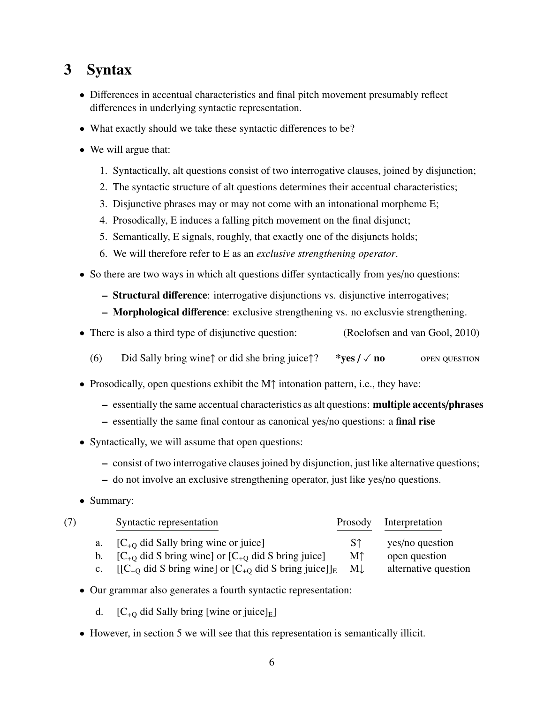# 3 Syntax

- Differences in accentual characteristics and final pitch movement presumably reflect differences in underlying syntactic representation.
- What exactly should we take these syntactic differences to be?
- We will argue that:
	- 1. Syntactically, alt questions consist of two interrogative clauses, joined by disjunction;
	- 2. The syntactic structure of alt questions determines their accentual characteristics;
	- 3. Disjunctive phrases may or may not come with an intonational morpheme E;
	- 4. Prosodically, E induces a falling pitch movement on the final disjunct;
	- 5. Semantically, E signals, roughly, that exactly one of the disjuncts holds;
	- 6. We will therefore refer to E as an *exclusive strengthening operator*.
- So there are two ways in which alt questions differ syntactically from yes/no questions:
	- Structural difference: interrogative disjunctions vs. disjunctive interrogatives;
	- Morphological difference: exclusive strengthening vs. no exclusvie strengthening.
- There is also a third type of disjunctive question: (Roelofsen and van Gool, 2010)
	- (6) Did Sally bring wine↑ or did she bring juice↑? \*ves  $\ell \vee$  no open question
- Prosodically, open questions exhibit the M↑ intonation pattern, i.e., they have:
	- essentially the same accentual characteristics as alt questions: multiple accents/phrases
	- essentially the same final contour as canonical yes/no questions: a final rise
- Syntactically, we will assume that open questions:
	- consist of two interrogative clauses joined by disjunction, just like alternative questions;
	- do not involve an exclusive strengthening operator, just like yes/no questions.
- Summary:

| (7) | Syntactic representation                                                                          | Prosody | Interpretation       |
|-----|---------------------------------------------------------------------------------------------------|---------|----------------------|
|     | a. $[C_{+0}$ did Sally bring wine or juice]                                                       | -S↑     | yes/no question      |
|     | b. $[C_{+O}$ did S bring wine] or $[C_{+O}$ did S bring juice]                                    | Мî      | open question        |
|     | $[[C_{+0} \text{ did } S \text{ bring wine}]$ or $[C_{+0} \text{ did } S \text{ bring juice}]]_E$ | M       | alternative question |

- Our grammar also generates a fourth syntactic representation:
	- d.  $[C_{+O}$  did Sally bring [wine or juice]<sub>E</sub>]
- However, in section 5 we will see that this representation is semantically illicit.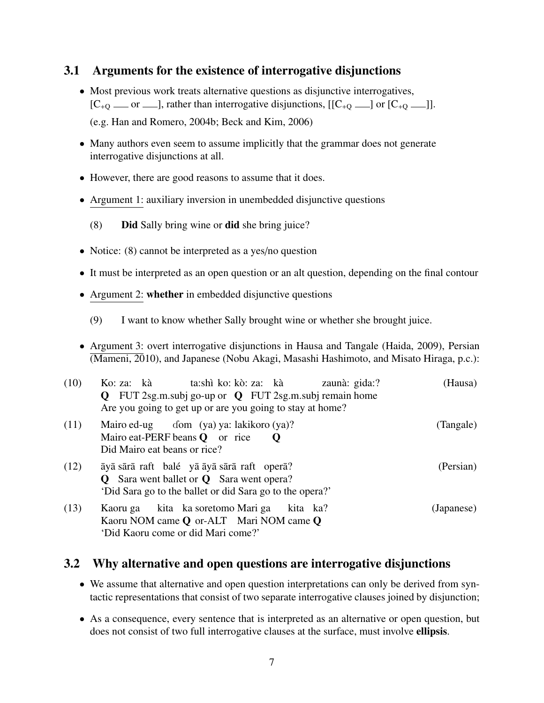# 3.1 Arguments for the existence of interrogative disjunctions

- Most previous work treats alternative questions as disjunctive interrogatives,  $[C_{+Q} \quad \text{or} \quad \text{and} \quad]$ , rather than interrogative disjunctions,  $[[C_{+Q} \quad \text{and} \quad C_{+Q} \quad \text{and} \quad]$ . (e.g. Han and Romero, 2004b; Beck and Kim, 2006)
- Many authors even seem to assume implicitly that the grammar does not generate interrogative disjunctions at all.
- However, there are good reasons to assume that it does.
- Argument 1: auxiliary inversion in unembedded disjunctive questions
	- (8) Did Sally bring wine or did she bring juice?
- Notice: (8) cannot be interpreted as a yes/no question
- It must be interpreted as an open question or an alt question, depending on the final contour
- Argument 2: whether in embedded disjunctive questions
	- (9) I want to know whether Sally brought wine or whether she brought juice.
- Argument 3: overt interrogative disjunctions in Hausa and Tangale (Haida, 2009), Persian (Mameni, 2010), and Japanese (Nobu Akagi, Masashi Hashimoto, and Misato Hiraga, p.c.):

| (10) | ta:shì ko: kò: za:   kà<br>Ko: za: kà<br>zaunà: gida:?<br>$Q$ FUT 2sg.m.subj go-up or $Q$ FUT 2sg.m.subj remain home<br>Are you going to get up or are you going to stay at home? | (Hausa)    |
|------|-----------------------------------------------------------------------------------------------------------------------------------------------------------------------------------|------------|
| (11) | Mairo ed-ug dom (ya) ya: lakikoro (ya)?<br>Mairo eat-PERF beans $Q$ or rice<br>$\mathbf 0$<br>Did Mairo eat beans or rice?                                                        | (Tangale)  |
| (12) | āyā sārā raft balé yā āyā sārā raft operā?<br><b>Q</b> Sara went ballet or <b>Q</b> Sara went opera?<br>'Did Sara go to the ballet or did Sara go to the opera?'                  | (Persian)  |
| (13) | Kaoru ga kita ka soretomo Mari ga kita ka?<br>Kaoru NOM came Q or-ALT Mari NOM came Q<br>'Did Kaoru come or did Mari come?'                                                       | (Japanese) |

## 3.2 Why alternative and open questions are interrogative disjunctions

- We assume that alternative and open question interpretations can only be derived from syntactic representations that consist of two separate interrogative clauses joined by disjunction;
- As a consequence, every sentence that is interpreted as an alternative or open question, but does not consist of two full interrogative clauses at the surface, must involve ellipsis.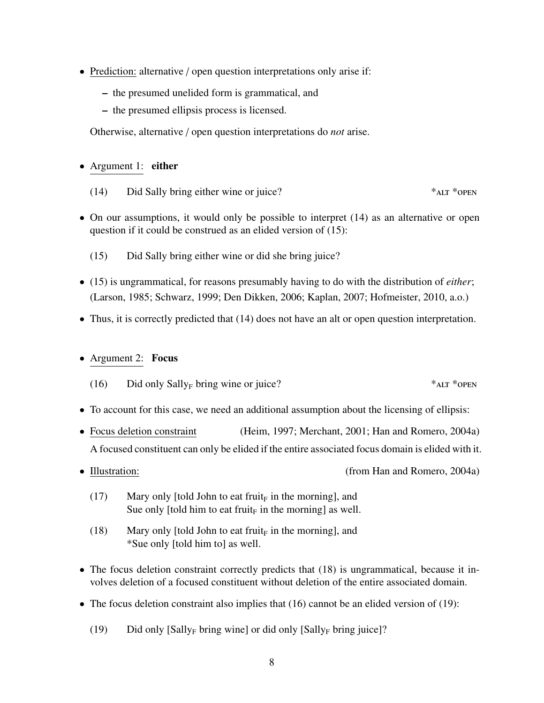- Prediction: alternative / open question interpretations only arise if:
	- the presumed unelided form is grammatical, and
	- the presumed ellipsis process is licensed.

Otherwise, alternative / open question interpretations do *not* arise.

#### • Argument 1: either

- (14) Did Sally bring either wine or juice? \*alt \*open
- On our assumptions, it would only be possible to interpret (14) as an alternative or open question if it could be construed as an elided version of (15):
	- (15) Did Sally bring either wine or did she bring juice?
- (15) is ungrammatical, for reasons presumably having to do with the distribution of *either*; (Larson, 1985; Schwarz, 1999; Den Dikken, 2006; Kaplan, 2007; Hofmeister, 2010, a.o.)
- Thus, it is correctly predicted that (14) does not have an alt or open question interpretation.

### • Argument 2: Focus

- (16) Did only Sally<sub>F</sub> bring wine or juice? \*\*\* ALT \*\* OPEN
- To account for this case, we need an additional assumption about the licensing of ellipsis:
- Focus deletion constraint (Heim, 1997; Merchant, 2001; Han and Romero, 2004a) A focused constituent can only be elided if the entire associated focus domain is elided with it.
- 

• Illustration: (from Han and Romero, 2004a)

- (17) Mary only [told John to eat fruit<sub>F</sub> in the morning], and Sue only [told him to eat fruit $_F$  in the morning] as well.
- (18) Mary only [told John to eat fruit<sub>F</sub> in the morning], and \*Sue only [told him to] as well.
- The focus deletion constraint correctly predicts that (18) is ungrammatical, because it involves deletion of a focused constituent without deletion of the entire associated domain.
- The focus deletion constraint also implies that (16) cannot be an elided version of (19):
	- (19) Did only  $[Sally_F]$  bring wine] or did only  $[Sally_F]$  bring juice]?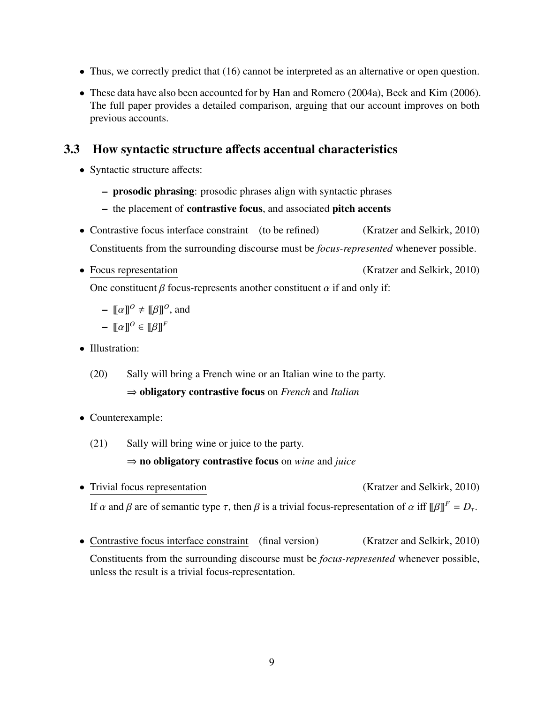- Thus, we correctly predict that (16) cannot be interpreted as an alternative or open question.
- These data have also been accounted for by Han and Romero (2004a), Beck and Kim (2006). The full paper provides a detailed comparison, arguing that our account improves on both previous accounts.

# 3.3 How syntactic structure affects accentual characteristics

- Syntactic structure affects:
	- prosodic phrasing: prosodic phrases align with syntactic phrases
	- the placement of contrastive focus, and associated pitch accents
- Contrastive focus interface constraint (to be refined) (Kratzer and Selkirk, 2010) Constituents from the surrounding discourse must be *focus-represented* whenever possible.
- 

• Focus representation (Kratzer and Selkirk, 2010)

One constituent  $\beta$  focus-represents another constituent  $\alpha$  if and only if:

$$
-\llbracket \alpha \rrbracket^0 \neq \llbracket \beta \rrbracket^0, \text{ and }
$$

- $\blacksquare$   $\llbracket \alpha \rrbracket^O \in \llbracket \beta \rrbracket^F$
- Illustration:
	- (20) Sally will bring a French wine or an Italian wine to the party. ⇒ obligatory contrastive focus on *French* and *Italian*
- Counterexample:
	- (21) Sally will bring wine or juice to the party.

### ⇒ no obligatory contrastive focus on *wine* and *juice*

- Trivial focus representation (Kratzer and Selkirk, 2010) If α and β are of semantic type  $\tau$ , then β is a trivial focus-representation of  $\alpha$  iff  $[\beta]$ <sup>F</sup> =  $D_{\tau}$ .
- Contrastive focus interface constraint (final version) (Kratzer and Selkirk, 2010) Constituents from the surrounding discourse must be *focus-represented* whenever possible, unless the result is a trivial focus-representation.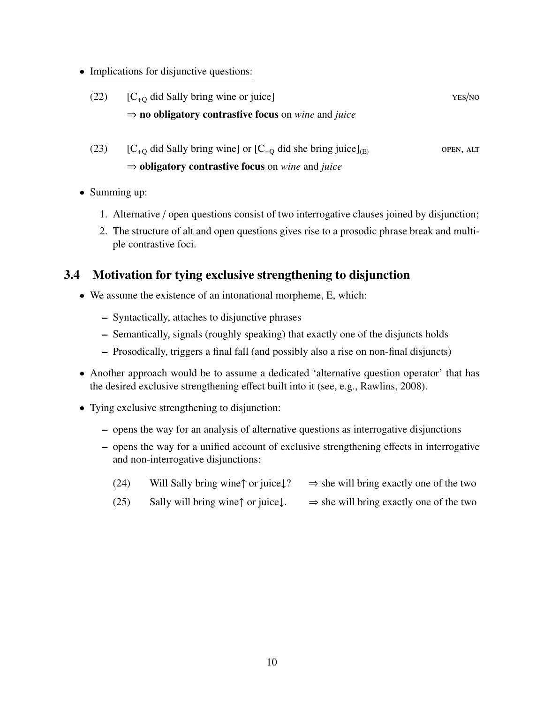• Implications for disjunctive questions:

| (22) | $[C_{+0}$ did Sally bring wine or juice]                                             | YES/NO |
|------|--------------------------------------------------------------------------------------|--------|
|      | $\Rightarrow$ <b>no obligatory contrastive focus</b> on <i>wine</i> and <i>juice</i> |        |

- (23)  $[C_{+0}$  did Sally bring wine] or  $[C_{+0}$  did she bring juice]<sub>(E)</sub> open, ALT ⇒ obligatory contrastive focus on *wine* and *juice*
- Summing up:
	- 1. Alternative / open questions consist of two interrogative clauses joined by disjunction;
	- 2. The structure of alt and open questions gives rise to a prosodic phrase break and multiple contrastive foci.

## 3.4 Motivation for tying exclusive strengthening to disjunction

- We assume the existence of an intonational morpheme, E, which:
	- Syntactically, attaches to disjunctive phrases
	- Semantically, signals (roughly speaking) that exactly one of the disjuncts holds
	- Prosodically, triggers a final fall (and possibly also a rise on non-final disjuncts)
- Another approach would be to assume a dedicated 'alternative question operator' that has the desired exclusive strengthening effect built into it (see, e.g., Rawlins, 2008).
- Tying exclusive strengthening to disjunction:
	- opens the way for an analysis of alternative questions as interrogative disjunctions
	- opens the way for a unified account of exclusive strengthening effects in interrogative and non-interrogative disjunctions:
		- (24) Will Sally bring wine↑ or juice $\downarrow$ ?  $\Rightarrow$  she will bring exactly one of the two
		- (25) Sally will bring wine↑ or juice↓.  $\Rightarrow$  she will bring exactly one of the two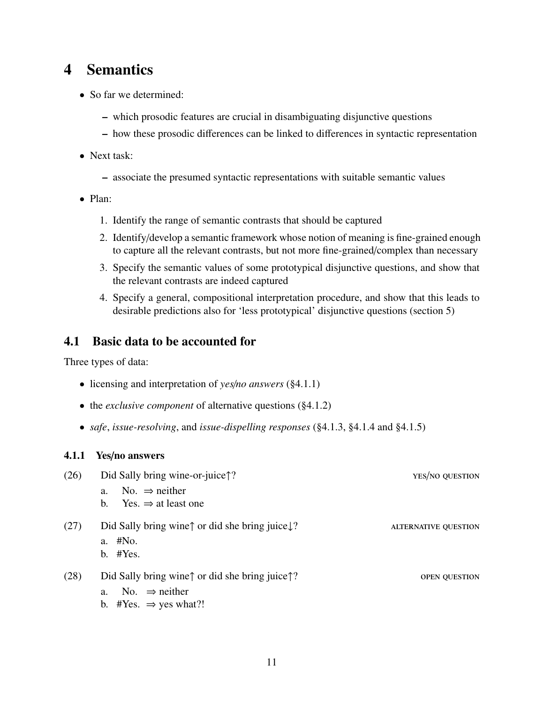# 4 Semantics

- So far we determined:
	- which prosodic features are crucial in disambiguating disjunctive questions
	- how these prosodic differences can be linked to differences in syntactic representation
- Next task:
	- associate the presumed syntactic representations with suitable semantic values
- Plan:
	- 1. Identify the range of semantic contrasts that should be captured
	- 2. Identify/develop a semantic framework whose notion of meaning is fine-grained enough to capture all the relevant contrasts, but not more fine-grained/complex than necessary
	- 3. Specify the semantic values of some prototypical disjunctive questions, and show that the relevant contrasts are indeed captured
	- 4. Specify a general, compositional interpretation procedure, and show that this leads to desirable predictions also for 'less prototypical' disjunctive questions (section 5)

#### 4.1 Basic data to be accounted for

Three types of data:

- licensing and interpretation of *yes*/*no answers* (§4.1.1)
- the *exclusive component* of alternative questions (§4.1.2)
- *safe*, *issue-resolving*, and *issue-dispelling responses* (§4.1.3, §4.1.4 and §4.1.5)

#### 4.1.1 Yes/no answers

| (26) | Did Sally bring wine-or-juice??                                                                                                             | YES/NO QUESTION             |
|------|---------------------------------------------------------------------------------------------------------------------------------------------|-----------------------------|
|      | No. $\Rightarrow$ neither<br>a.                                                                                                             |                             |
|      | Yes. $\Rightarrow$ at least one<br>$b_{1}$                                                                                                  |                             |
| (27) | Did Sally bring wine $\uparrow$ or did she bring juice $\downarrow$ ?<br>a. #No.<br>$b.$ #Yes.                                              | <b>ALTERNATIVE OUESTION</b> |
| (28) | Did Sally bring wine $\uparrow$ or did she bring juice $\uparrow$ ?<br>No. $\Rightarrow$ neither<br>a.<br>b. #Yes. $\Rightarrow$ yes what?! | <b>OPEN QUESTION</b>        |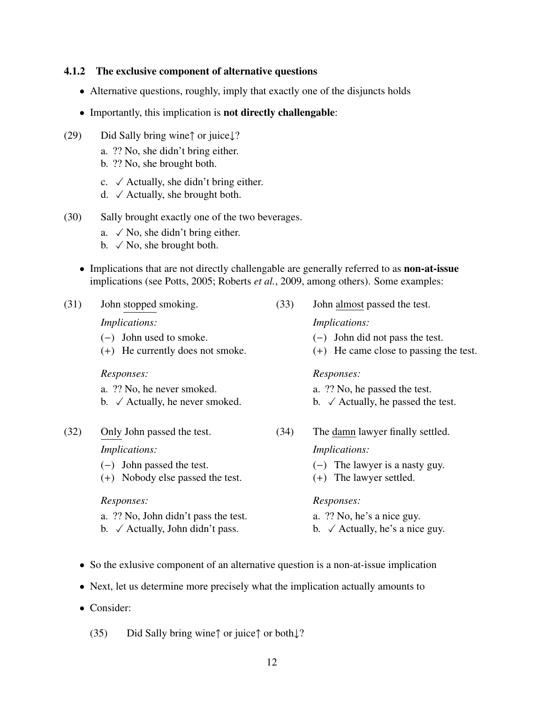#### 4.1.2 The exclusive component of alternative questions

- Alternative questions, roughly, imply that exactly one of the disjuncts holds
- Importantly, this implication is not directly challengable:
- (29) Did Sally bring wine↑ or juice↓?
	- a. ?? No, she didn't bring either.
	- b. ?? No, she brought both.
	- c.  $\checkmark$  Actually, she didn't bring either.
	- d.  $\checkmark$  Actually, she brought both.
- (30) Sally brought exactly one of the two beverages.
	- a.  $\checkmark$  No, she didn't bring either.
	- b.  $\checkmark$  No, she brought both.
	- Implications that are not directly challengable are generally referred to as **non-at-issue** implications (see Potts, 2005; Roberts *et al.*, 2009, among others). Some examples:

| (31) | John stopped smoking.                       | (33) | John almost passed the test.                  |
|------|---------------------------------------------|------|-----------------------------------------------|
|      | <i>Implications:</i>                        |      | <i>Implications:</i>                          |
|      | John used to smoke.<br>$(-)$                |      | John did not pass the test.<br>$(-)$          |
|      | (+) He currently does not smoke.            |      | (+) He came close to passing the test.        |
|      | Responses:                                  |      | Responses:                                    |
|      | a. ?? No, he never smoked.                  |      | a. ?? No, he passed the test.                 |
|      | b. $\checkmark$ Actually, he never smoked.  |      | b. $\checkmark$ Actually, he passed the test. |
| (32) | Only John passed the test.                  | (34) | The damn lawyer finally settled.              |
|      | <i>Implications:</i>                        |      | <i>Implications:</i>                          |
|      | $(-)$ John passed the test.                 |      | $(-)$ The lawyer is a nasty guy.              |
|      | (+) Nobody else passed the test.            |      | (+) The lawyer settled.                       |
|      | Responses:                                  |      | Responses:                                    |
|      | a. ?? No, John didn't pass the test.        |      | a. ?? No, he's a nice guy.                    |
|      | b. $\checkmark$ Actually, John didn't pass. |      | b. $\checkmark$ Actually, he's a nice guy.    |
|      |                                             |      |                                               |

- So the exlusive component of an alternative question is a non-at-issue implication
- Next, let us determine more precisely what the implication actually amounts to
- Consider:

(35) Did Sally bring wine↑ or juice↑ or both↓?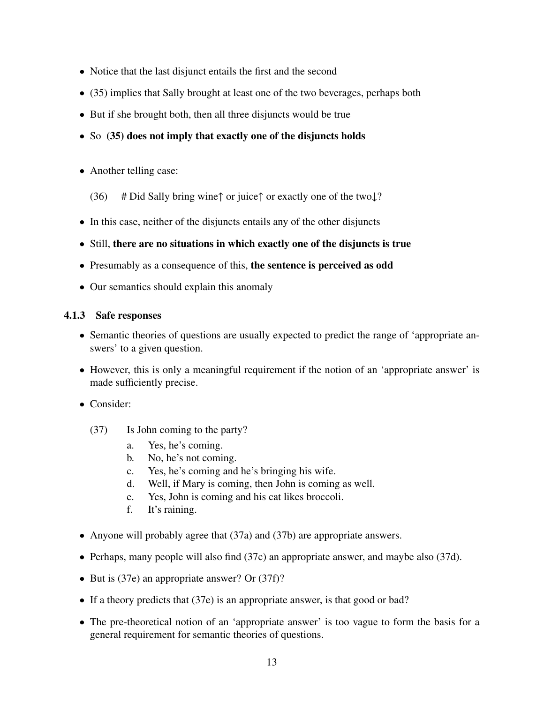- Notice that the last disjunct entails the first and the second
- (35) implies that Sally brought at least one of the two beverages, perhaps both
- But if she brought both, then all three disjuncts would be true
- So (35) does not imply that exactly one of the disjuncts holds
- Another telling case:
	- (36) # Did Sally bring wine↑ or juice↑ or exactly one of the two $\downarrow$ ?
- In this case, neither of the disjuncts entails any of the other disjuncts
- Still, there are no situations in which exactly one of the disjuncts is true
- Presumably as a consequence of this, the sentence is perceived as odd
- Our semantics should explain this anomaly

#### 4.1.3 Safe responses

- Semantic theories of questions are usually expected to predict the range of 'appropriate answers' to a given question.
- However, this is only a meaningful requirement if the notion of an 'appropriate answer' is made sufficiently precise.
- Consider:
	- (37) Is John coming to the party?
		- a. Yes, he's coming.
		- b. No, he's not coming.
		- c. Yes, he's coming and he's bringing his wife.
		- d. Well, if Mary is coming, then John is coming as well.
		- e. Yes, John is coming and his cat likes broccoli.
		- f. It's raining.
- Anyone will probably agree that (37a) and (37b) are appropriate answers.
- Perhaps, many people will also find (37c) an appropriate answer, and maybe also (37d).
- But is (37e) an appropriate answer? Or (37f)?
- If a theory predicts that (37e) is an appropriate answer, is that good or bad?
- The pre-theoretical notion of an 'appropriate answer' is too vague to form the basis for a general requirement for semantic theories of questions.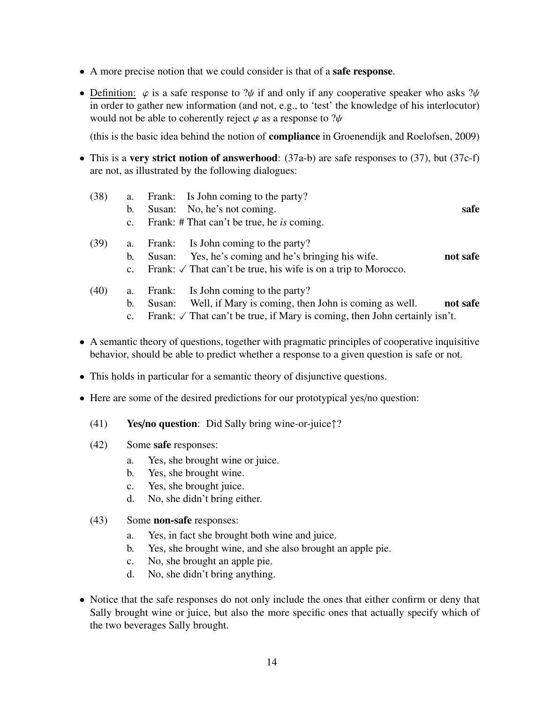- A more precise notion that we could consider is that of a safe response.
- Definition:  $\varphi$  is a safe response to ? $\psi$  if and only if any cooperative speaker who asks ? $\psi$ in order to gather new information (and not, e.g., to 'test' the knowledge of his interlocutor) would not be able to coherently reject  $\varphi$  as a response to ? $\psi$

(this is the basic idea behind the notion of compliance in Groenendijk and Roelofsen, 2009)

- This is a very strict notion of answerhood:  $(37a-b)$  are safe responses to  $(37)$ , but  $(37c-f)$ are not, as illustrated by the following dialogues:
	- (38) a. Frank: Is John coming to the party?
		- b. Susan: No, he's not coming. safe
		- c. Frank: # That can't be true, he *is* coming.
	- (39) a. Frank: Is John coming to the party?
		- b. Susan: Yes, he's coming and he's bringing his wife. **not safe**
		- c. Frank:  $\sqrt{\ }$  That can't be true, his wife is on a trip to Morocco.
	- (40) a. Frank: Is John coming to the party?
		- b. Susan: Well, if Mary is coming, then John is coming as well. **not safe**
		- c. Frank:  $\sqrt{\ }$  That can't be true, if Mary is coming, then John certainly isn't.
- A semantic theory of questions, together with pragmatic principles of cooperative inquisitive behavior, should be able to predict whether a response to a given question is safe or not.
- This holds in particular for a semantic theory of disjunctive questions.
- Here are some of the desired predictions for our prototypical yes/no question:
	- (41) Yes/no question: Did Sally bring wine-or-juice↑?
	- (42) Some safe responses:
		- a. Yes, she brought wine or juice.
		- b. Yes, she brought wine.
		- c. Yes, she brought juice.
		- d. No, she didn't bring either.
	- (43) Some non-safe responses:
		- a. Yes, in fact she brought both wine and juice.
		- b. Yes, she brought wine, and she also brought an apple pie.
		- c. No, she brought an apple pie.
		- d. No, she didn't bring anything.
- Notice that the safe responses do not only include the ones that either confirm or deny that Sally brought wine or juice, but also the more specific ones that actually specify which of the two beverages Sally brought.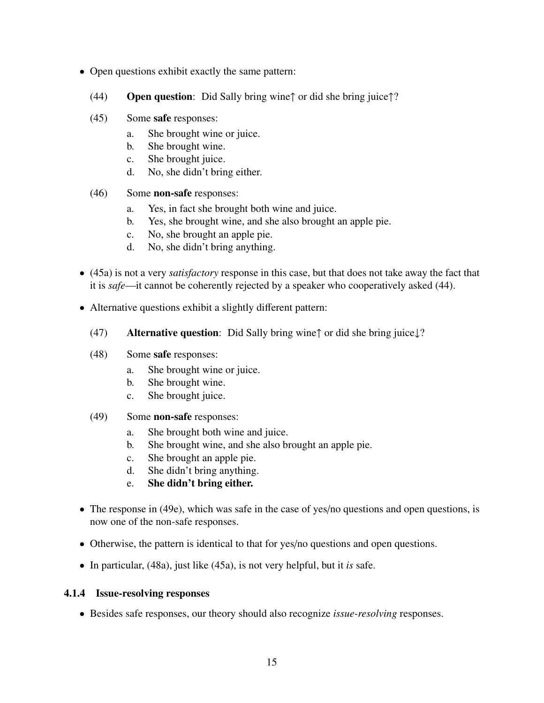- Open questions exhibit exactly the same pattern:
	- (44) Open question: Did Sally bring wine↑ or did she bring juice↑?
	- (45) Some safe responses:
		- a. She brought wine or juice.
		- b. She brought wine.
		- c. She brought juice.
		- d. No, she didn't bring either.
	- (46) Some non-safe responses:
		- a. Yes, in fact she brought both wine and juice.
		- b. Yes, she brought wine, and she also brought an apple pie.
		- c. No, she brought an apple pie.
		- d. No, she didn't bring anything.
- (45a) is not a very *satisfactory* response in this case, but that does not take away the fact that it is *safe*—it cannot be coherently rejected by a speaker who cooperatively asked (44).
- Alternative questions exhibit a slightly different pattern:
	- (47) Alternative question: Did Sally bring wine↑ or did she bring juice↓?
	- (48) Some safe responses:
		- a. She brought wine or juice.
		- b. She brought wine.
		- c. She brought juice.
	- (49) Some non-safe responses:
		- a. She brought both wine and juice.
		- b. She brought wine, and she also brought an apple pie.
		- c. She brought an apple pie.
		- d. She didn't bring anything.
		- e. She didn't bring either.
- The response in (49e), which was safe in the case of yes/no questions and open questions, is now one of the non-safe responses.
- Otherwise, the pattern is identical to that for yes/no questions and open questions.
- In particular, (48a), just like (45a), is not very helpful, but it *is* safe.

#### 4.1.4 Issue-resolving responses

• Besides safe responses, our theory should also recognize *issue-resolving* responses.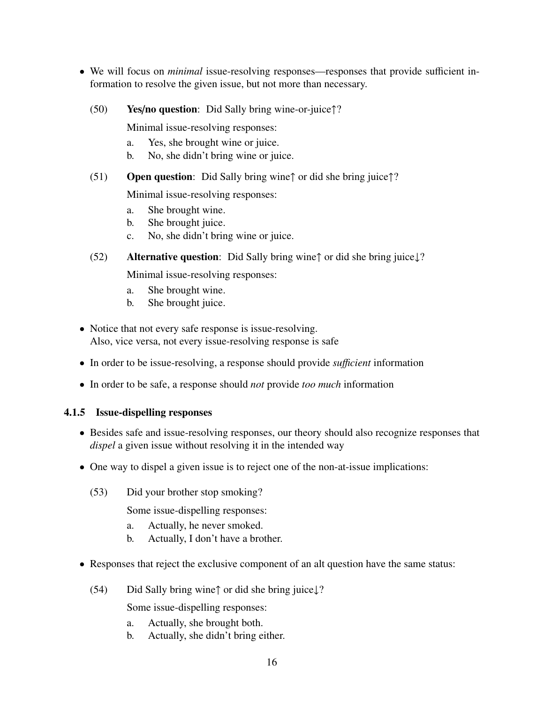- We will focus on *minimal* issue-resolving responses—responses that provide sufficient information to resolve the given issue, but not more than necessary.
	- (50) Yes/no question: Did Sally bring wine-or-juice↑?

Minimal issue-resolving responses:

- a. Yes, she brought wine or juice.
- b. No, she didn't bring wine or juice.
- (51) Open question: Did Sally bring wine↑ or did she bring juice↑?

Minimal issue-resolving responses:

- a. She brought wine.
- b. She brought juice.
- c. No, she didn't bring wine or juice.
- (52) Alternative question: Did Sally bring wine↑ or did she bring juice↓?

Minimal issue-resolving responses:

- a. She brought wine.
- b. She brought juice.
- Notice that not every safe response is issue-resolving. Also, vice versa, not every issue-resolving response is safe
- In order to be issue-resolving, a response should provide *su*ffi*cient* information
- In order to be safe, a response should *not* provide *too much* information

#### 4.1.5 Issue-dispelling responses

- Besides safe and issue-resolving responses, our theory should also recognize responses that *dispel* a given issue without resolving it in the intended way
- One way to dispel a given issue is to reject one of the non-at-issue implications:
	- (53) Did your brother stop smoking?

Some issue-dispelling responses:

- a. Actually, he never smoked.
- b. Actually, I don't have a brother.
- Responses that reject the exclusive component of an alt question have the same status:
	- (54) Did Sally bring wine↑ or did she bring juice↓?

Some issue-dispelling responses:

- a. Actually, she brought both.
- b. Actually, she didn't bring either.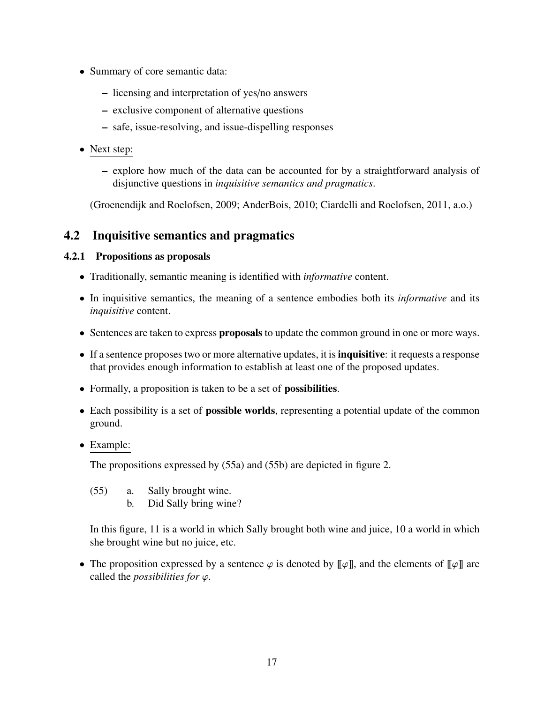- Summary of core semantic data:
	- licensing and interpretation of yes/no answers
	- exclusive component of alternative questions
	- safe, issue-resolving, and issue-dispelling responses
- Next step:
	- explore how much of the data can be accounted for by a straightforward analysis of disjunctive questions in *inquisitive semantics and pragmatics*.

(Groenendijk and Roelofsen, 2009; AnderBois, 2010; Ciardelli and Roelofsen, 2011, a.o.)

# 4.2 Inquisitive semantics and pragmatics

#### 4.2.1 Propositions as proposals

- Traditionally, semantic meaning is identified with *informative* content.
- In inquisitive semantics, the meaning of a sentence embodies both its *informative* and its *inquisitive* content.
- Sentences are taken to express **proposals** to update the common ground in one or more ways.
- If a sentence proposes two or more alternative updates, it is **inquisitive**: it requests a response that provides enough information to establish at least one of the proposed updates.
- Formally, a proposition is taken to be a set of **possibilities**.
- Each possibility is a set of **possible worlds**, representing a potential update of the common ground.
- Example:

The propositions expressed by (55a) and (55b) are depicted in figure 2.

- (55) a. Sally brought wine.
	- b. Did Sally bring wine?

In this figure, 11 is a world in which Sally brought both wine and juice, 10 a world in which she brought wine but no juice, etc.

• The proposition expressed by a sentence  $\varphi$  is denoted by  $\llbracket \varphi \rrbracket$ , and the elements of  $\llbracket \varphi \rrbracket$  are called the *possibilities for* ϕ.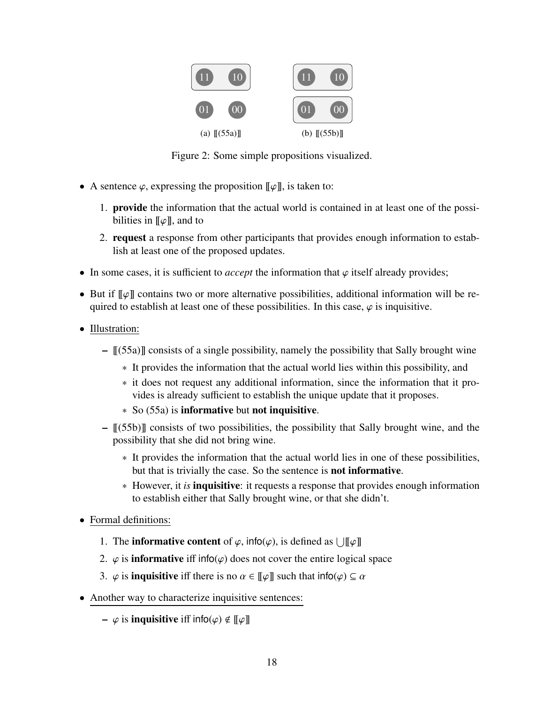

Figure 2: Some simple propositions visualized.

- A sentence  $\varphi$ , expressing the proposition  $\llbracket \varphi \rrbracket$ , is taken to:
	- 1. provide the information that the actual world is contained in at least one of the possibilities in  $\llbracket \varphi \rrbracket$ , and to
	- 2. request a response from other participants that provides enough information to establish at least one of the proposed updates.
- In some cases, it is sufficient to *accept* the information that  $\varphi$  itself already provides;
- But if  $\llbracket \varphi \rrbracket$  contains two or more alternative possibilities, additional information will be required to establish at least one of these possibilities. In this case,  $\varphi$  is inquisitive.
- Illustration:
	- $[(55a)]$  consists of a single possibility, namely the possibility that Sally brought wine
		- ∗ It provides the information that the actual world lies within this possibility, and
		- ∗ it does not request any additional information, since the information that it provides is already sufficient to establish the unique update that it proposes.
		- ∗ So (55a) is informative but not inquisitive.
	- $\lbrack \! \lbrack (55b) \rbrack \! \rbrack$  consists of two possibilities, the possibility that Sally brought wine, and the possibility that she did not bring wine.
		- ∗ It provides the information that the actual world lies in one of these possibilities, but that is trivially the case. So the sentence is not informative.
		- ∗ However, it *is* inquisitive: it requests a response that provides enough information to establish either that Sally brought wine, or that she didn't.
- Formal definitions:
	- 1. The **informative content** of  $\varphi$ , info( $\varphi$ ), is defined as  $\bigcup [\![\varphi]\!]$
	- 2.  $\varphi$  is **informative** iff info( $\varphi$ ) does not cover the entire logical space
	- 3.  $\varphi$  is **inquisitive** iff there is no  $\alpha \in [\![\varphi]\!]$  such that  $\text{info}(\varphi) \subseteq \alpha$
- Another way to characterize inquisitive sentences:
	- $\varphi$  is **inquisitive** iff  $\mathsf{info}(\varphi) \notin [\![\varphi]\!]$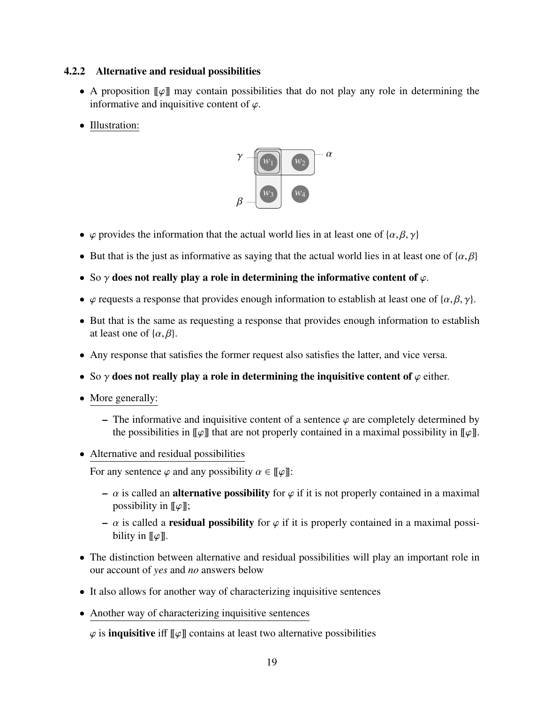### 4.2.2 Alternative and residual possibilities

- A proposition  $\llbracket \varphi \rrbracket$  may contain possibilities that do not play any role in determining the informative and inquisitive content of  $\varphi$ .
- Illustration:



- $\varphi$  provides the information that the actual world lies in at least one of  $\{\alpha, \beta, \gamma\}$
- But that is the just as informative as saying that the actual world lies in at least one of  $\{\alpha, \beta\}$
- So  $\gamma$  does not really play a role in determining the informative content of  $\varphi$ .
- $\varphi$  requests a response that provides enough information to establish at least one of { $\alpha$ ,  $\beta$ ,  $\gamma$ }.
- But that is the same as requesting a response that provides enough information to establish at least one of  $\{\alpha, \beta\}$ .
- Any response that satisfies the former request also satisfies the latter, and vice versa.
- So  $\gamma$  does not really play a role in determining the inquisitive content of  $\varphi$  either.
- More generally:
	- The informative and inquisitive content of a sentence  $\varphi$  are completely determined by the possibilities in  $\llbracket \varphi \rrbracket$  that are not properly contained in a maximal possibility in  $\llbracket \varphi \rrbracket$ .
- Alternative and residual possibilities

For any sentence  $\varphi$  and any possibility  $\alpha \in [\![\varphi]\!]$ :

- $\alpha$  is called an **alternative possibility** for  $\varphi$  if it is not properly contained in a maximal possibility in  $\llbracket \varphi \rrbracket$ ;
- $\alpha$  is called a **residual possibility** for  $\varphi$  if it is properly contained in a maximal possibility in  $\llbracket \varphi \rrbracket$ .
- The distinction between alternative and residual possibilities will play an important role in our account of *yes* and *no* answers below
- It also allows for another way of characterizing inquisitive sentences
- Another way of characterizing inquisitive sentences

 $\varphi$  is **inquisitive** iff  $\llbracket \varphi \rrbracket$  contains at least two alternative possibilities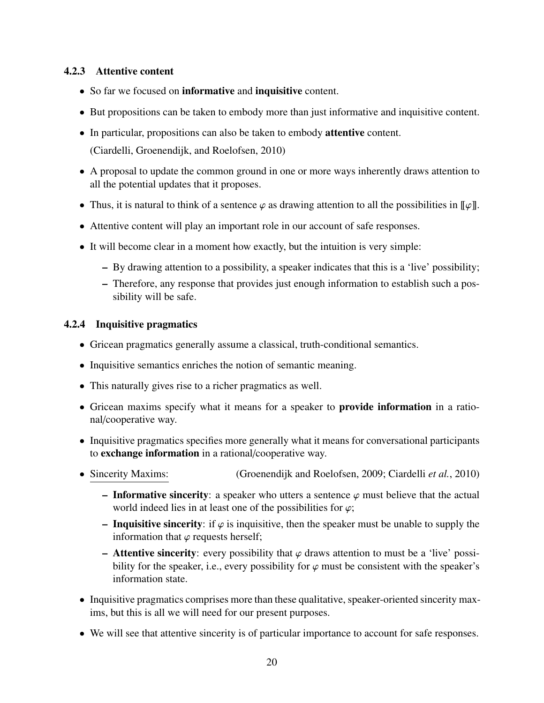#### 4.2.3 Attentive content

- So far we focused on **informative** and **inquisitive** content.
- But propositions can be taken to embody more than just informative and inquisitive content.
- In particular, propositions can also be taken to embody **attentive** content.

(Ciardelli, Groenendijk, and Roelofsen, 2010)

- A proposal to update the common ground in one or more ways inherently draws attention to all the potential updates that it proposes.
- Thus, it is natural to think of a sentence  $\varphi$  as drawing attention to all the possibilities in  $\llbracket \varphi \rrbracket$ .
- Attentive content will play an important role in our account of safe responses.
- It will become clear in a moment how exactly, but the intuition is very simple:
	- By drawing attention to a possibility, a speaker indicates that this is a 'live' possibility;
	- Therefore, any response that provides just enough information to establish such a possibility will be safe.

#### 4.2.4 Inquisitive pragmatics

- Gricean pragmatics generally assume a classical, truth-conditional semantics.
- Inquisitive semantics enriches the notion of semantic meaning.
- This naturally gives rise to a richer pragmatics as well.
- Gricean maxims specify what it means for a speaker to **provide information** in a rational/cooperative way.
- Inquisitive pragmatics specifies more generally what it means for conversational participants to exchange information in a rational/cooperative way.
- Sincerity Maxims: (Groenendijk and Roelofsen, 2009; Ciardelli *et al.*, 2010)
	- Informative sincerity: a speaker who utters a sentence  $\varphi$  must believe that the actual world indeed lies in at least one of the possibilities for  $\varphi$ ;
	- Inquisitive sincerity: if  $\varphi$  is inquisitive, then the speaker must be unable to supply the information that  $\varphi$  requests herself;
	- **Attentive sincerity**: every possibility that  $\varphi$  draws attention to must be a 'live' possibility for the speaker, i.e., every possibility for  $\varphi$  must be consistent with the speaker's information state.
- Inquisitive pragmatics comprises more than these qualitative, speaker-oriented sincerity maxims, but this is all we will need for our present purposes.
- We will see that attentive sincerity is of particular importance to account for safe responses.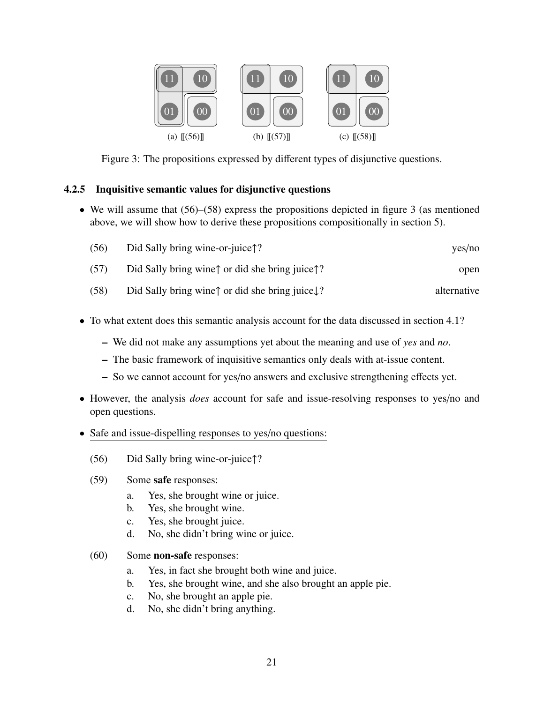

Figure 3: The propositions expressed by different types of disjunctive questions.

### 4.2.5 Inquisitive semantic values for disjunctive questions

• We will assume that  $(56)$ – $(58)$  express the propositions depicted in figure 3 (as mentioned above, we will show how to derive these propositions compositionally in section 5).

| yes/no      | Did Sally bring wine-or-juice <sup><math>\uparrow</math></sup> ?      | (56) |
|-------------|-----------------------------------------------------------------------|------|
| open        | Did Sally bring wine $\uparrow$ or did she bring juice $\uparrow$ ?   | (57) |
| alternative | Did Sally bring wine $\uparrow$ or did she bring juice $\downarrow$ ? | (58) |

- To what extent does this semantic analysis account for the data discussed in section 4.1?
	- We did not make any assumptions yet about the meaning and use of *yes* and *no*.
	- The basic framework of inquisitive semantics only deals with at-issue content.
	- So we cannot account for yes/no answers and exclusive strengthening effects yet.
- However, the analysis *does* account for safe and issue-resolving responses to yes/no and open questions.
- Safe and issue-dispelling responses to yes/no questions:
	- (56) Did Sally bring wine-or-juice↑?
	- (59) Some safe responses:
		- a. Yes, she brought wine or juice.
		- b. Yes, she brought wine.
		- c. Yes, she brought juice.
		- d. No, she didn't bring wine or juice.
	- (60) Some non-safe responses:
		- a. Yes, in fact she brought both wine and juice.
		- b. Yes, she brought wine, and she also brought an apple pie.
		- c. No, she brought an apple pie.
		- d. No, she didn't bring anything.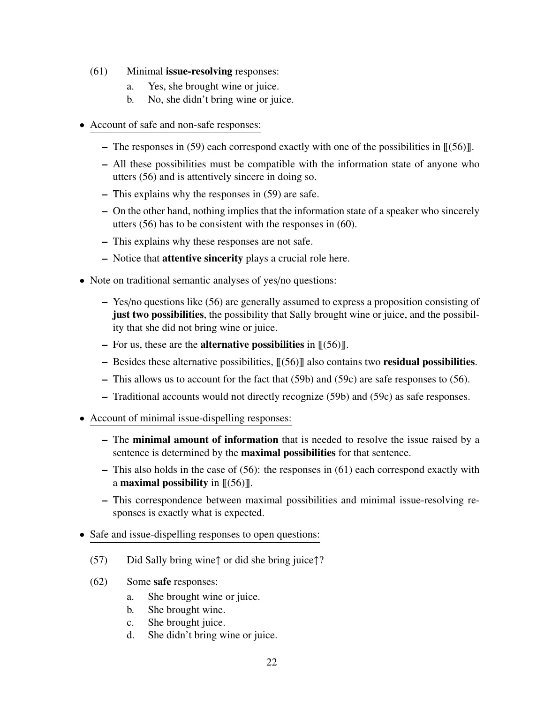- (61) Minimal issue-resolving responses:
	- a. Yes, she brought wine or juice.
	- b. No, she didn't bring wine or juice.
- Account of safe and non-safe responses:
	- The responses in (59) each correspond exactly with one of the possibilities in  $\mathcal{L}(56)$ .
	- All these possibilities must be compatible with the information state of anyone who utters (56) and is attentively sincere in doing so.
	- This explains why the responses in (59) are safe.
	- On the other hand, nothing implies that the information state of a speaker who sincerely utters (56) has to be consistent with the responses in (60).
	- This explains why these responses are not safe.
	- Notice that attentive sincerity plays a crucial role here.
- Note on traditional semantic analyses of yes/no questions:
	- Yes/no questions like (56) are generally assumed to express a proposition consisting of just two possibilities, the possibility that Sally brought wine or juice, and the possibility that she did not bring wine or juice.
	- For us, these are the **alternative possibilities** in  $[[(56)]$ .
	- Besides these alternative possibilities,  $\lfloor (56) \rfloor$  also contains two **residual possibilities.**
	- This allows us to account for the fact that (59b) and (59c) are safe responses to (56).
	- Traditional accounts would not directly recognize (59b) and (59c) as safe responses.
- Account of minimal issue-dispelling responses:
	- The minimal amount of information that is needed to resolve the issue raised by a sentence is determined by the maximal possibilities for that sentence.
	- This also holds in the case of (56): the responses in (61) each correspond exactly with a **maximal possibility** in  $\langle \lceil (56) \rceil \rceil$ .
	- This correspondence between maximal possibilities and minimal issue-resolving responses is exactly what is expected.
- Safe and issue-dispelling responses to open questions:
	- (57) Did Sally bring wine↑ or did she bring juice↑?
	- (62) Some safe responses:
		- a. She brought wine or juice.
		- b. She brought wine.
		- c. She brought juice.
		- d. She didn't bring wine or juice.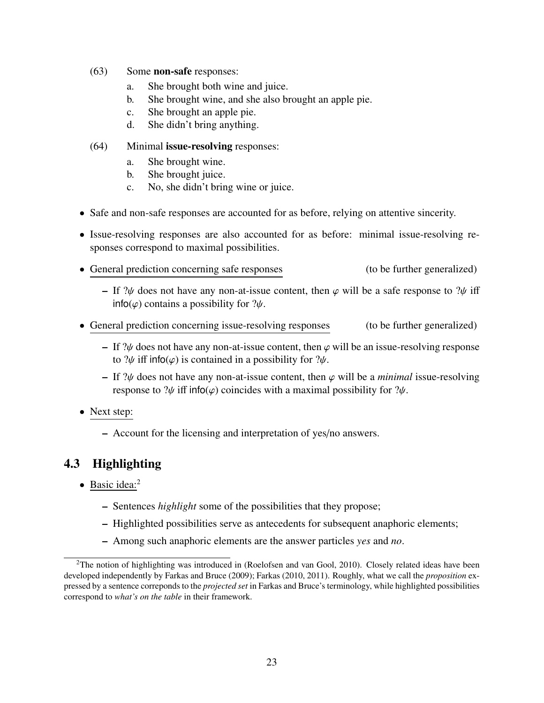- (63) Some non-safe responses:
	- a. She brought both wine and juice.
	- b. She brought wine, and she also brought an apple pie.
	- c. She brought an apple pie.
	- d. She didn't bring anything.
- (64) Minimal issue-resolving responses:
	- a. She brought wine.
	- b. She brought juice.
	- c. No, she didn't bring wine or juice.
- Safe and non-safe responses are accounted for as before, relying on attentive sincerity.
- Issue-resolving responses are also accounted for as before: minimal issue-resolving responses correspond to maximal possibilities.
- General prediction concerning safe responses (to be further generalized)
	- If  $\mathcal{W}$  does not have any non-at-issue content, then  $\varphi$  will be a safe response to  $\mathcal{W}$  iff  $info(\varphi)$  contains a possibility for  $?\psi$ .
- General prediction concerning issue-resolving responses (to be further generalized)
	- If  $\mathcal{W}$  does not have any non-at-issue content, then  $\varphi$  will be an issue-resolving response to  $\psi$  iff info( $\varphi$ ) is contained in a possibility for  $\psi$ .
	- If  $\partial \psi$  does not have any non-at-issue content, then  $\varphi$  will be a *minimal* issue-resolving response to  $\psi$  iff info( $\varphi$ ) coincides with a maximal possibility for  $\psi$ .
- Next step:
	- Account for the licensing and interpretation of yes/no answers.

# 4.3 Highlighting

- Basic idea:<sup>2</sup>
	- Sentences *highlight* some of the possibilities that they propose;
	- Highlighted possibilities serve as antecedents for subsequent anaphoric elements;
	- Among such anaphoric elements are the answer particles *yes* and *no*.

<sup>&</sup>lt;sup>2</sup>The notion of highlighting was introduced in (Roelofsen and van Gool, 2010). Closely related ideas have been developed independently by Farkas and Bruce (2009); Farkas (2010, 2011). Roughly, what we call the *proposition* expressed by a sentence correponds to the *projected set* in Farkas and Bruce's terminology, while highlighted possibilities correspond to *what's on the table* in their framework.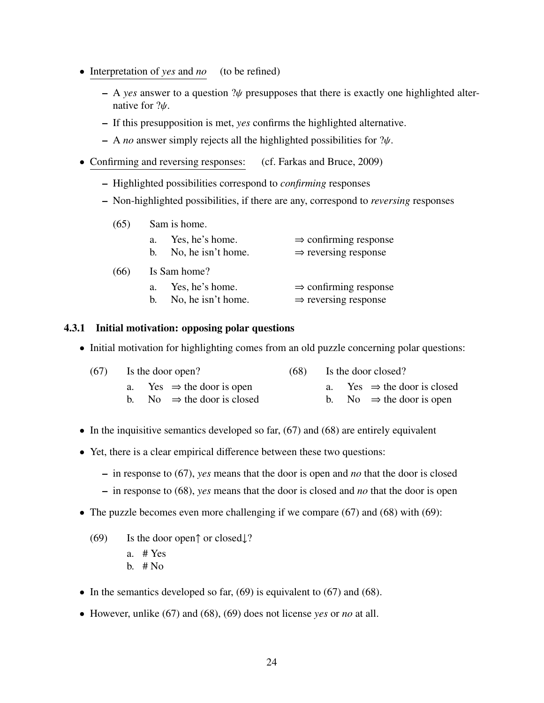- Interpretation of *yes* and *no* (to be refined)
	- $-$  A *yes* answer to a question  $\mathcal{W}$  presupposes that there is exactly one highlighted alternative for  $?$  $\psi$ .
	- If this presupposition is met, *yes* confirms the highlighted alternative.
	- <sup>A</sup> *no* answer simply rejects all the highlighted possibilities for ?ψ.
- Confirming and reversing responses: (cf. Farkas and Bruce, 2009)
	- Highlighted possibilities correspond to *confirming* responses
	- Non-highlighted possibilities, if there are any, correspond to *reversing* responses

| (65) |              | Sam is home.       |                                   |  |  |
|------|--------------|--------------------|-----------------------------------|--|--|
|      | a.           | Yes, he's home.    | $\Rightarrow$ confirming response |  |  |
|      | b.           | No, he isn't home. | $\Rightarrow$ reversing response  |  |  |
| (66) | Is Sam home? |                    |                                   |  |  |
|      | a.           | Yes, he's home.    | $\Rightarrow$ confirming response |  |  |
|      | h.           | No, he isn't home. | $\Rightarrow$ reversing response  |  |  |

#### 4.3.1 Initial motivation: opposing polar questions

• Initial motivation for highlighting comes from an old puzzle concerning polar questions:

| $(67)$ Is the door open?               |  | $(68)$ Is the door closed?              |
|----------------------------------------|--|-----------------------------------------|
| a. Yes $\Rightarrow$ the door is open  |  | a. Yes $\Rightarrow$ the door is closed |
| b. No $\Rightarrow$ the door is closed |  | b. No $\Rightarrow$ the door is open    |

- In the inquisitive semantics developed so far,  $(67)$  and  $(68)$  are entirely equivalent
- Yet, there is a clear empirical difference between these two questions:
	- in response to (67), *yes* means that the door is open and *no* that the door is closed
	- in response to (68), *yes* means that the door is closed and *no* that the door is open
- The puzzle becomes even more challenging if we compare (67) and (68) with (69):
	- (69) Is the door open↑ or closed↓?
		- a. # Yes
		- b.  $# No$
- In the semantics developed so far,  $(69)$  is equivalent to  $(67)$  and  $(68)$ .
- However, unlike (67) and (68), (69) does not license *yes* or *no* at all.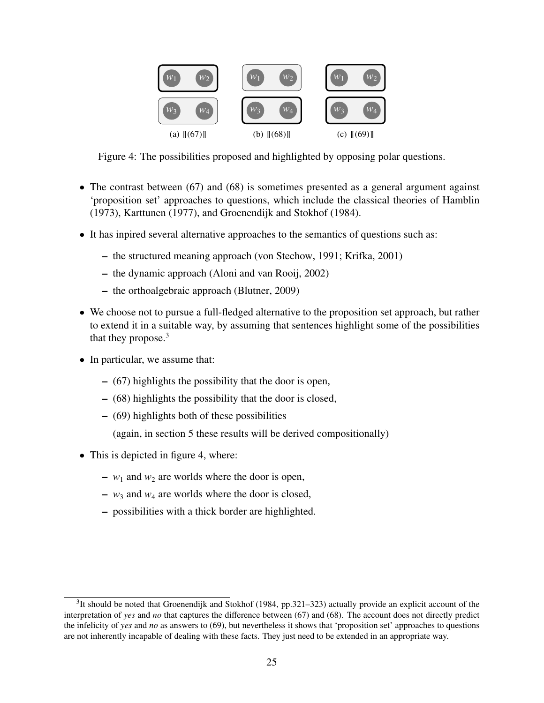

Figure 4: The possibilities proposed and highlighted by opposing polar questions.

- The contrast between (67) and (68) is sometimes presented as a general argument against 'proposition set' approaches to questions, which include the classical theories of Hamblin (1973), Karttunen (1977), and Groenendijk and Stokhof (1984).
- It has inpired several alternative approaches to the semantics of questions such as:
	- the structured meaning approach (von Stechow, 1991; Krifka, 2001)
	- the dynamic approach (Aloni and van Rooij, 2002)
	- the orthoalgebraic approach (Blutner, 2009)
- We choose not to pursue a full-fledged alternative to the proposition set approach, but rather to extend it in a suitable way, by assuming that sentences highlight some of the possibilities that they propose.<sup>3</sup>
- In particular, we assume that:
	- (67) highlights the possibility that the door is open,
	- (68) highlights the possibility that the door is closed,
	- (69) highlights both of these possibilities

(again, in section 5 these results will be derived compositionally)

- This is depicted in figure 4, where:
	- $w_1$  and  $w_2$  are worlds where the door is open,
	- $w_3$  and  $w_4$  are worlds where the door is closed,
	- possibilities with a thick border are highlighted.

 $3$ It should be noted that Groenendijk and Stokhof (1984, pp.321–323) actually provide an explicit account of the interpretation of *yes* and *no* that captures the difference between (67) and (68). The account does not directly predict the infelicity of *yes* and *no* as answers to (69), but nevertheless it shows that 'proposition set' approaches to questions are not inherently incapable of dealing with these facts. They just need to be extended in an appropriate way.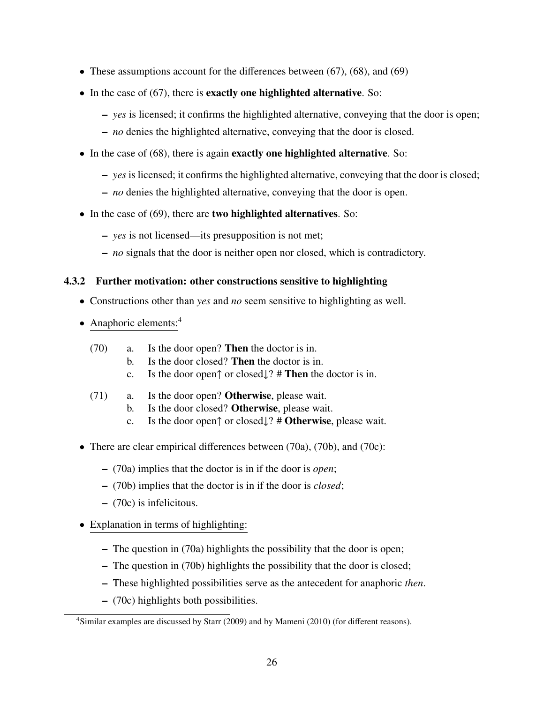- These assumptions account for the differences between  $(67)$ ,  $(68)$ , and  $(69)$
- In the case of (67), there is **exactly one highlighted alternative**. So:
	- *yes* is licensed; it confirms the highlighted alternative, conveying that the door is open;
	- *no* denies the highlighted alternative, conveying that the door is closed.
- In the case of (68), there is again **exactly one highlighted alternative**. So:
	- *yes* is licensed; it confirms the highlighted alternative, conveying that the door is closed;
	- *no* denies the highlighted alternative, conveying that the door is open.
- In the case of (69), there are two highlighted alternatives. So:
	- *yes* is not licensed—its presupposition is not met;
	- *no* signals that the door is neither open nor closed, which is contradictory.

#### 4.3.2 Further motivation: other constructions sensitive to highlighting

- Constructions other than *yes* and *no* seem sensitive to highlighting as well.
- Anaphoric elements:<sup>4</sup>
	- (70) a. Is the door open? Then the doctor is in.
		- b. Is the door closed? Then the doctor is in.
		- c. Is the door open↑ or closed↓? # Then the doctor is in.
	- (71) a. Is the door open? Otherwise, please wait.
		- b. Is the door closed? Otherwise, please wait.
		- c. Is the door open↑ or closed↓? # Otherwise, please wait.
- There are clear empirical differences between (70a), (70b), and (70c):
	- (70a) implies that the doctor is in if the door is *open*;
	- (70b) implies that the doctor is in if the door is *closed*;
	- (70c) is infelicitous.
- Explanation in terms of highlighting:
	- The question in (70a) highlights the possibility that the door is open;
	- The question in (70b) highlights the possibility that the door is closed;
	- These highlighted possibilities serve as the antecedent for anaphoric *then*.
	- (70c) highlights both possibilities.

<sup>4</sup>Similar examples are discussed by Starr (2009) and by Mameni (2010) (for different reasons).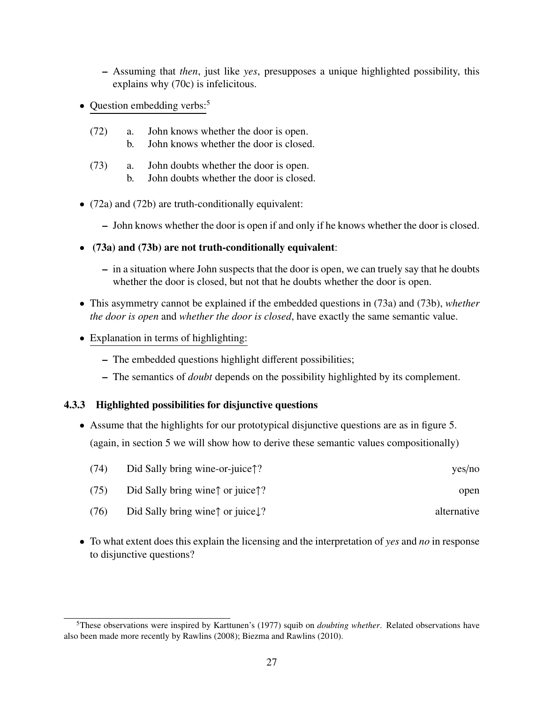- Assuming that *then*, just like *yes*, presupposes a unique highlighted possibility, this explains why (70c) is infelicitous.
- Question embedding verbs:<sup>5</sup>
	- (72) a. John knows whether the door is open.
		- b. John knows whether the door is closed.
	- (73) a. John doubts whether the door is open.
		- b. John doubts whether the door is closed.
- (72a) and (72b) are truth-conditionally equivalent:
	- John knows whether the door is open if and only if he knows whether the door is closed.
- (73a) and (73b) are not truth-conditionally equivalent:
	- in a situation where John suspects that the door is open, we can truely say that he doubts whether the door is closed, but not that he doubts whether the door is open.
- This asymmetry cannot be explained if the embedded questions in (73a) and (73b), *whether the door is open* and *whether the door is closed*, have exactly the same semantic value.
- Explanation in terms of highlighting:
	- The embedded questions highlight different possibilities;
	- The semantics of *doubt* depends on the possibility highlighted by its complement.

### 4.3.3 Highlighted possibilities for disjunctive questions

• Assume that the highlights for our prototypical disjunctive questions are as in figure 5. (again, in section 5 we will show how to derive these semantic values compositionally)

| (74)<br>Did Sally bring wine-or-juice↑? | yes/no |
|-----------------------------------------|--------|
|-----------------------------------------|--------|

- (75) Did Sally bring wine↑ or juice↑? open
- (76) Did Sally bring wine↑ or juice↓? alternative
- To what extent does this explain the licensing and the interpretation of *yes* and *no* in response to disjunctive questions?

<sup>5</sup>These observations were inspired by Karttunen's (1977) squib on *doubting whether*. Related observations have also been made more recently by Rawlins (2008); Biezma and Rawlins (2010).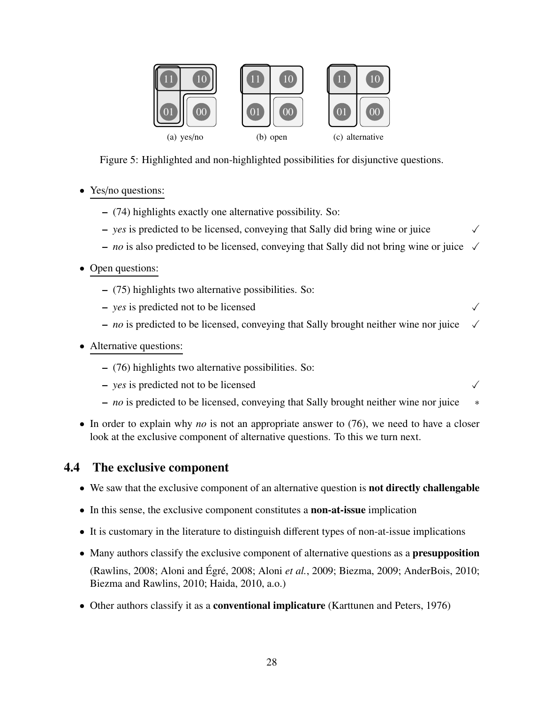

Figure 5: Highlighted and non-highlighted possibilities for disjunctive questions.

- Yes/no questions:
	- (74) highlights exactly one alternative possibility. So:
	- $-$  *yes* is predicted to be licensed, conveying that Sally did bring wine or juice  $\checkmark$
	- $-$  *no* is also predicted to be licensed, conveying that Sally did not bring wine or juice  $\sqrt{ }$
- Open questions:
	- (75) highlights two alternative possibilities. So:
	- $\rightarrow$  *yes* is predicted not to be licensed
	- $-$  *no* is predicted to be licensed, conveying that Sally brought neither wine nor juice  $\sqrt{ }$
- Alternative questions:
	- (76) highlights two alternative possibilities. So:
	- $\sim$  *yes* is predicted not to be licensed
	- *no* is predicted to be licensed, conveying that Sally brought neither wine nor juice ∗
- In order to explain why *no* is not an appropriate answer to (76), we need to have a closer look at the exclusive component of alternative questions. To this we turn next.

# 4.4 The exclusive component

- We saw that the exclusive component of an alternative question is **not directly challengable**
- In this sense, the exclusive component constitutes a non-at-issue implication
- It is customary in the literature to distinguish different types of non-at-issue implications
- Many authors classify the exclusive component of alternative questions as a **presupposition** 
	- (Rawlins, 2008; Aloni and Égré, 2008; Aloni et al., 2009; Biezma, 2009; AnderBois, 2010; Biezma and Rawlins, 2010; Haida, 2010, a.o.)
- Other authors classify it as a **conventional implicature** (Karttunen and Peters, 1976)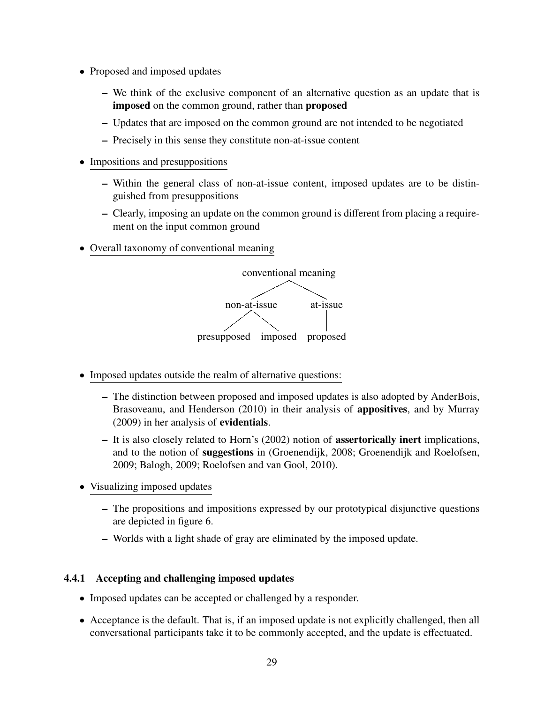- Proposed and imposed updates
	- We think of the exclusive component of an alternative question as an update that is imposed on the common ground, rather than proposed
	- Updates that are imposed on the common ground are not intended to be negotiated
	- Precisely in this sense they constitute non-at-issue content
- Impositions and presuppositions
	- Within the general class of non-at-issue content, imposed updates are to be distinguished from presuppositions
	- Clearly, imposing an update on the common ground is different from placing a requirement on the input common ground
- Overall taxonomy of conventional meaning



- Imposed updates outside the realm of alternative questions:
	- The distinction between proposed and imposed updates is also adopted by AnderBois, Brasoveanu, and Henderson (2010) in their analysis of appositives, and by Murray (2009) in her analysis of evidentials.
	- It is also closely related to Horn's (2002) notion of assertorically inert implications, and to the notion of suggestions in (Groenendijk, 2008; Groenendijk and Roelofsen, 2009; Balogh, 2009; Roelofsen and van Gool, 2010).
- Visualizing imposed updates
	- The propositions and impositions expressed by our prototypical disjunctive questions are depicted in figure 6.
	- Worlds with a light shade of gray are eliminated by the imposed update.

## 4.4.1 Accepting and challenging imposed updates

- Imposed updates can be accepted or challenged by a responder.
- Acceptance is the default. That is, if an imposed update is not explicitly challenged, then all conversational participants take it to be commonly accepted, and the update is effectuated.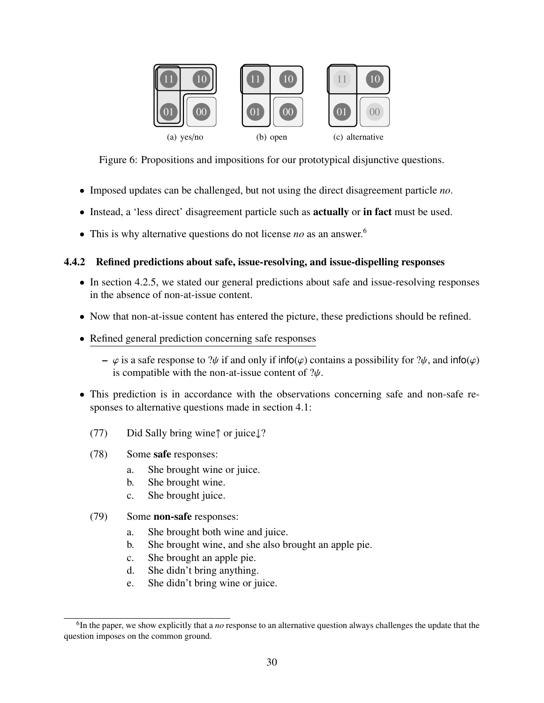

Figure 6: Propositions and impositions for our prototypical disjunctive questions.

- Imposed updates can be challenged, but not using the direct disagreement particle *no*.
- Instead, a 'less direct' disagreement particle such as **actually** or **in fact** must be used.
- This is why alternative questions do not license *no* as an answer.<sup>6</sup>

### 4.4.2 Refined predictions about safe, issue-resolving, and issue-dispelling responses

- In section 4.2.5, we stated our general predictions about safe and issue-resolving responses in the absence of non-at-issue content.
- Now that non-at-issue content has entered the picture, these predictions should be refined.
- Refined general prediction concerning safe responses
	- $\varphi$  is a safe response to ? $\psi$  if and only if info( $\varphi$ ) contains a possibility for ? $\psi$ , and info( $\varphi$ ) is compatible with the non-at-issue content of  $\psi$ .
- This prediction is in accordance with the observations concerning safe and non-safe responses to alternative questions made in section 4.1:
	- (77) Did Sally bring wine↑ or juice↓?
	- (78) Some safe responses:
		- a. She brought wine or juice.
		- b. She brought wine.
		- c. She brought juice.
	- (79) Some non-safe responses:
		- a. She brought both wine and juice.
		- b. She brought wine, and she also brought an apple pie.
		- c. She brought an apple pie.
		- d. She didn't bring anything.
		- e. She didn't bring wine or juice.

<sup>6</sup> In the paper, we show explicitly that a *no* response to an alternative question always challenges the update that the question imposes on the common ground.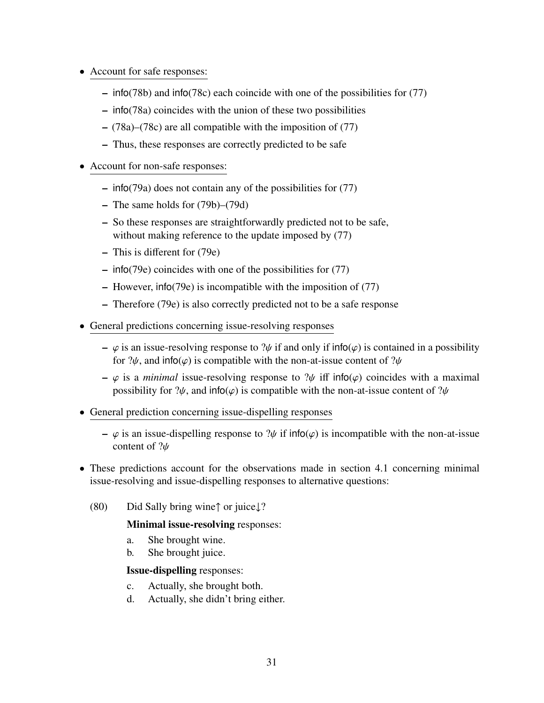- Account for safe responses:
	- info(78b) and info(78c) each coincide with one of the possibilities for (77)
	- info(78a) coincides with the union of these two possibilities
	- (78a)–(78c) are all compatible with the imposition of (77)
	- Thus, these responses are correctly predicted to be safe
- Account for non-safe responses:
	- info(79a) does not contain any of the possibilities for (77)
	- The same holds for (79b)–(79d)
	- So these responses are straightforwardly predicted not to be safe, without making reference to the update imposed by  $(77)$
	- This is different for (79e)
	- info(79e) coincides with one of the possibilities for (77)
	- However, info(79e) is incompatible with the imposition of (77)
	- Therefore (79e) is also correctly predicted not to be a safe response
- General predictions concerning issue-resolving responses
	- $-\varphi$  is an issue-resolving response to ? $\psi$  if and only if info( $\varphi$ ) is contained in a possibility for  $\partial \psi$ , and info( $\varphi$ ) is compatible with the non-at-issue content of  $\partial \psi$
	- $-\varphi$  is a *minimal* issue-resolving response to  $\psi$  iff info( $\varphi$ ) coincides with a maximal possibility for  $\psi$ , and info( $\varphi$ ) is compatible with the non-at-issue content of  $\psi$
- General prediction concerning issue-dispelling responses
	- $\varphi$  is an issue-dispelling response to  $\psi$  if info( $\varphi$ ) is incompatible with the non-at-issue content of ?ψ
- These predictions account for the observations made in section 4.1 concerning minimal issue-resolving and issue-dispelling responses to alternative questions:
	- (80) Did Sally bring wine↑ or juice↓?

### Minimal issue-resolving responses:

- a. She brought wine.
- b. She brought juice.

#### Issue-dispelling responses:

- c. Actually, she brought both.
- d. Actually, she didn't bring either.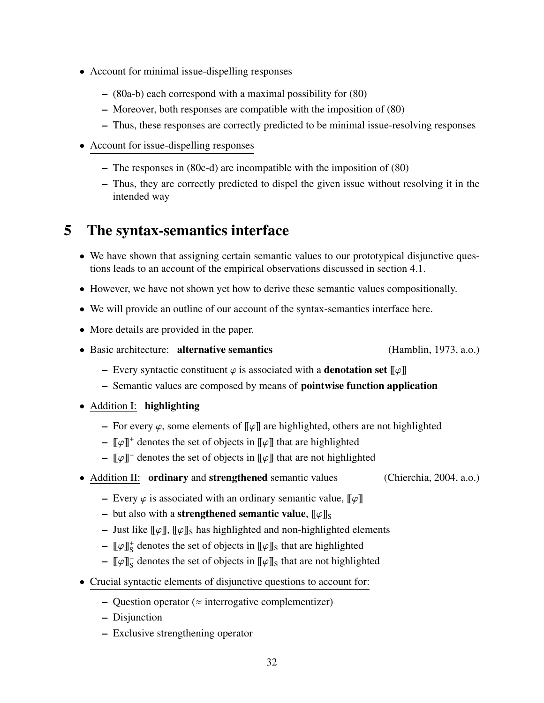- Account for minimal issue-dispelling responses
	- (80a-b) each correspond with a maximal possibility for (80)
	- Moreover, both responses are compatible with the imposition of (80)
	- Thus, these responses are correctly predicted to be minimal issue-resolving responses
- Account for issue-dispelling responses
	- The responses in (80c-d) are incompatible with the imposition of (80)
	- Thus, they are correctly predicted to dispel the given issue without resolving it in the intended way

# 5 The syntax-semantics interface

- We have shown that assigning certain semantic values to our prototypical disjunctive questions leads to an account of the empirical observations discussed in section 4.1.
- However, we have not shown yet how to derive these semantic values compositionally.
- We will provide an outline of our account of the syntax-semantics interface here.
- More details are provided in the paper.
- Basic architecture: alternative semantics (Hamblin, 1973, a.o.)

- Every syntactic constituent  $\varphi$  is associated with a **denotation set**  $[\varphi]$
- Semantic values are composed by means of pointwise function application
- Addition I: highlighting
	- For every  $\varphi$ , some elements of  $\llbracket \varphi \rrbracket$  are highlighted, others are not highlighted
	- $\llbracket \varphi \rrbracket^+$  denotes the set of objects in  $\llbracket \varphi \rrbracket$  that are highlighted
	- $\llbracket \varphi \rrbracket^-$  denotes the set of objects in  $\llbracket \varphi \rrbracket$  that are not highlighted
- Addition II: ordinary and strengthened semantic values (Chierchia, 2004, a.o.)
	- Every  $\varphi$  is associated with an ordinary semantic value,  $\llbracket \varphi \rrbracket$
	- but also with a **strengthened semantic value**,  $\llbracket \varphi \rrbracket$ s
	- Just like  $\llbracket \varphi \rrbracket$ ,  $\llbracket \varphi \rrbracket$  has highlighted and non-highlighted elements
	- $\llbracket \varphi \rrbracket_{\mathcal{S}}^{+}$  denotes the set of objects in  $\llbracket \varphi \rrbracket_{\mathcal{S}}$  that are highlighted
	- $-$  [[ $\varphi$ ]]<sub>S</sub> denotes the set of objects in [[ $\varphi$ ]]<sub>S</sub> that are not highlighted
- Crucial syntactic elements of disjunctive questions to account for:
	- Question operator ( $\approx$  interrogative complementizer)
	- Disjunction
	- Exclusive strengthening operator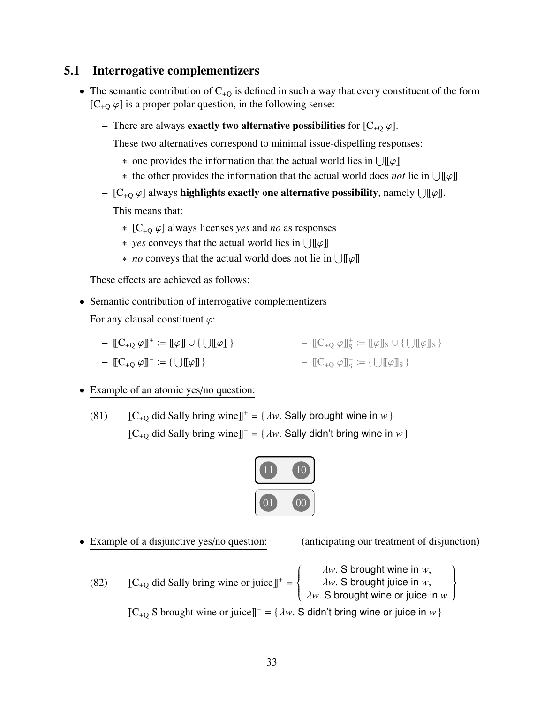# 5.1 Interrogative complementizers

- The semantic contribution of  $C_{+O}$  is defined in such a way that every constituent of the form  $[C_{+O} \varphi]$  is a proper polar question, in the following sense:
	- There are always **exactly two alternative possibilities** for  $[C_{+0} \varphi]$ .

These two alternatives correspond to minimal issue-dispelling responses:

- one provides the information that the actual world lies in  $\bigcup [\![\varphi]\!]$
- ∗ the other provides the information that the actual world does *not* lie in  $\bigcup [\![\varphi]\!]$
- $-$  [C<sub>+Q</sub>  $\varphi$ ] always **highlights exactly one alternative possibility**, namely  $\bigcup [\![\varphi]\!]$ .

This means that:

- <sup>∗</sup> [C<sup>+</sup><sup>Q</sup> <sup>ϕ</sup>] always licenses *yes* and *no* as responses
- $\ast$  *yes* conveys that the actual world lies in  $\bigcup [\![\varphi]\!]$
- ∗ *no* conveys that the actual world does not lie in  $\bigcup [\![\varphi]\!]$

These effects are achieved as follows:

• Semantic contribution of interrogative complementizers

For any clausal constituent  $\varphi$ :

- $-\llbracket C_{+Q} \varphi \rrbracket^+ := \llbracket \varphi \rrbracket \cup \{\bigcup \llbracket \varphi \rrbracket \} \$   $-\llbracket C_{+Q} \varphi \rrbracket_S^+ := \llbracket \varphi \rrbracket_S \cup \{\bigcup \llbracket \varphi \rrbracket_S \}$  $[ [C_{+Q} \varphi] ]^- := {\overline{\bigcup [ \varphi ] \bigcup } }$  $\mathbb{C}_{+Q} \varphi \mathbb{I}_{S}^{-} \coloneqq {\widetilde{\bigcup \mathbb{I} \varphi \mathbb{I}_{S}}}$
- Example of an atomic yes/no question:

(81)  $[[C_{+Q} \text{ did Sally bring wine}]]^+ = \{ \lambda w \text{. Sally brought wine in } w \}$ [[C<sup>+</sup><sup>Q</sup> did Sally bring wine]]<sup>−</sup> <sup>=</sup> { <sup>λ</sup>*w*. Sally didn't bring wine in *<sup>w</sup>*}



- Example of a disjunctive yes/no question: (anticipating our treatment of disjunction)
	- (82)  $[[C_{+Q} \text{ did Sally bring wine or juice}]]^+ =$  $\begin{cases} \frac{1}{2} & \text{if } 0 \leq x \leq 1 \\ \frac{1}{2} & \text{if } 0 \leq x \leq 1 \end{cases}$

 $\overline{\mathcal{L}}$ λ*w*. S brought wine in *<sup>w</sup>*, λ*w*. S brought juice in *<sup>w</sup>*, λ*w*. S brought wine or juice in *<sup>w</sup>*  $\left\{ \right.$  $\int$ [[C<sup>+</sup><sup>Q</sup> S brought wine or juice]]<sup>−</sup> <sup>=</sup> { <sup>λ</sup>*w*. S didn't bring wine or juice in *<sup>w</sup>*}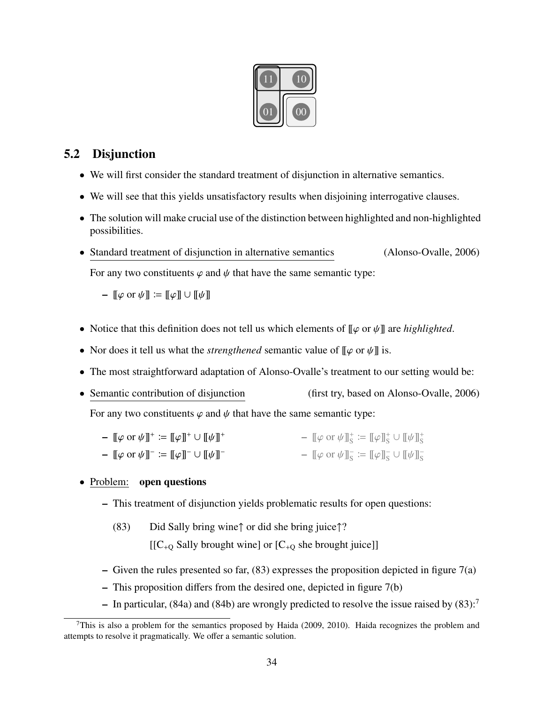

## 5.2 Disjunction

- We will first consider the standard treatment of disjunction in alternative semantics.
- We will see that this yields unsatisfactory results when disjoining interrogative clauses.
- The solution will make crucial use of the distinction between highlighted and non-highlighted possibilities.
- Standard treatment of disjunction in alternative semantics (Alonso-Ovalle, 2006) For any two constituents  $\varphi$  and  $\psi$  that have the same semantic type:

–  $\llbracket \varphi$  or  $\psi \rrbracket := \llbracket \varphi \rrbracket \cup \llbracket \psi \rrbracket$ 

- Notice that this definition does not tell us which elements of  $\llbracket \varphi \text{ or } \psi \rrbracket$  are *highlighted*.
- Nor does it tell us what the *strengthened* semantic value of  $[\varphi \text{ or } \psi]$  is.
- The most straightforward adaptation of Alonso-Ovalle's treatment to our setting would be:
- Semantic contribution of disjunction (first try, based on Alonso-Ovalle, 2006) For any two constituents  $\varphi$  and  $\psi$  that have the same semantic type:

–  $\llbracket \varphi \text{ or } \psi \rrbracket^+ := \llbracket \varphi \rrbracket^+ \cup \llbracket \psi \rrbracket^+$ -  $[\![\varphi \text{ or } \psi]\!]_S^+ := [\![\varphi]\!]_S^+ \cup [\![\psi]\!]_S^+$ 

–  $[\![\varphi \text{ or } \psi]\!]^- \coloneqq [\![\varphi]\!]^- \cup [\![\psi]\!]^-$ –  $[\![\varphi \text{ or } \psi]\!]_S^- := [\![\varphi]\!]_S^- \cup [\![\psi]\!]_S^-$ 

#### • Problem: open questions

- This treatment of disjunction yields problematic results for open questions:
	- (83) Did Sally bring wine↑ or did she bring juice↑?

 $[[C_{+Q}$  Sally brought wine] or  $[C_{+Q}$  she brought juice]]

- Given the rules presented so far,  $(83)$  expresses the proposition depicted in figure  $7(a)$
- This proposition differs from the desired one, depicted in figure 7(b)
- In particular, (84a) and (84b) are wrongly predicted to resolve the issue raised by  $(83)$ :<sup>7</sup>

<sup>&</sup>lt;sup>7</sup>This is also a problem for the semantics proposed by Haida (2009, 2010). Haida recognizes the problem and attempts to resolve it pragmatically. We offer a semantic solution.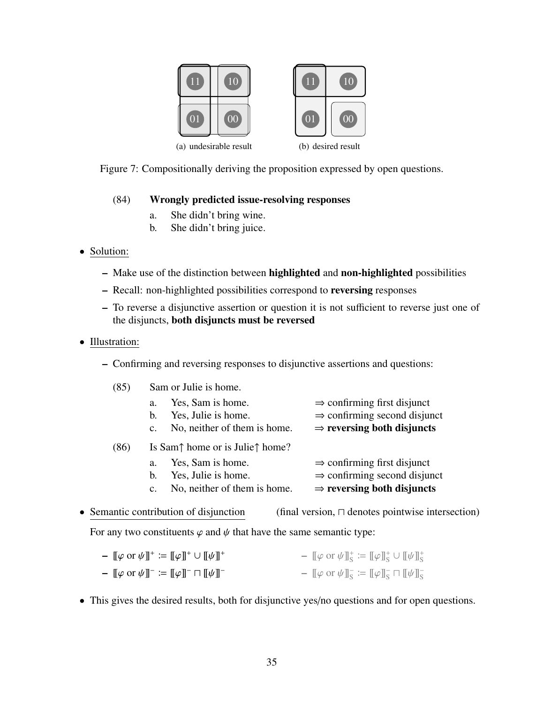



(b) desired result

Figure 7: Compositionally deriving the proposition expressed by open questions.

#### (84) Wrongly predicted issue-resolving responses

- a. She didn't bring wine.
- b. She didn't bring juice.
- Solution:
	- Make use of the distinction between highlighted and non-highlighted possibilities
	- Recall: non-highlighted possibilities correspond to reversing responses
	- To reverse a disjunctive assertion or question it is not sufficient to reverse just one of the disjuncts, both disjuncts must be reversed
- Illustration:
	- Confirming and reversing responses to disjunctive assertions and questions:

| (85) | Sam or Julie is home.                                                                                  |                                                                                                                               |  |  |
|------|--------------------------------------------------------------------------------------------------------|-------------------------------------------------------------------------------------------------------------------------------|--|--|
|      | Yes, Sam is home.<br>a.<br>Yes, Julie is home.<br>b.<br>No, neither of them is home.<br>C <sub>1</sub> | $\Rightarrow$ confirming first disjunct<br>$\Rightarrow$ confirming second disjunct<br>$\Rightarrow$ reversing both disjuncts |  |  |
| (86) | Is Sam $\uparrow$ home or is Julie $\uparrow$ home?                                                    |                                                                                                                               |  |  |
|      | Yes, Sam is home.<br>a.                                                                                | $\Rightarrow$ confirming first disjunct                                                                                       |  |  |
|      | Yes, Julie is home.<br>b.                                                                              | $\Rightarrow$ confirming second disjunct                                                                                      |  |  |
|      | No, neither of them is home.<br>$\mathbf{c}$ .                                                         | $\Rightarrow$ reversing both disjuncts                                                                                        |  |  |

• Semantic contribution of disjunction (final version,  $\Box$  denotes pointwise intersection)

For any two constituents  $\varphi$  and  $\psi$  that have the same semantic type:

| $- [[\varphi \text{ or } \psi]]^+ := [[\varphi]]^+ \cup [[\psi]]^+$   | $ \llbracket \varphi \text{ or } \psi \rrbracket^{\text{+}}_{\text{S}} \coloneqq \llbracket \varphi \rrbracket^{\text{+}}_{\text{S}} \cup \llbracket \psi \rrbracket^{\text{+}}_{\text{S}}$ |
|-----------------------------------------------------------------------|---------------------------------------------------------------------------------------------------------------------------------------------------------------------------------------------|
| $- [[\varphi \text{ or } \psi]]^- := [[\varphi]]^- \sqcap [[\psi]]^-$ | $ \llbracket \varphi$ or $\psi \rrbracket_{\mathcal{S}} \coloneqq \llbracket \varphi \rrbracket_{\mathcal{S}}^- \sqcap \llbracket \psi \rrbracket_{\mathcal{S}}^-$                          |

• This gives the desired results, both for disjunctive yes/no questions and for open questions.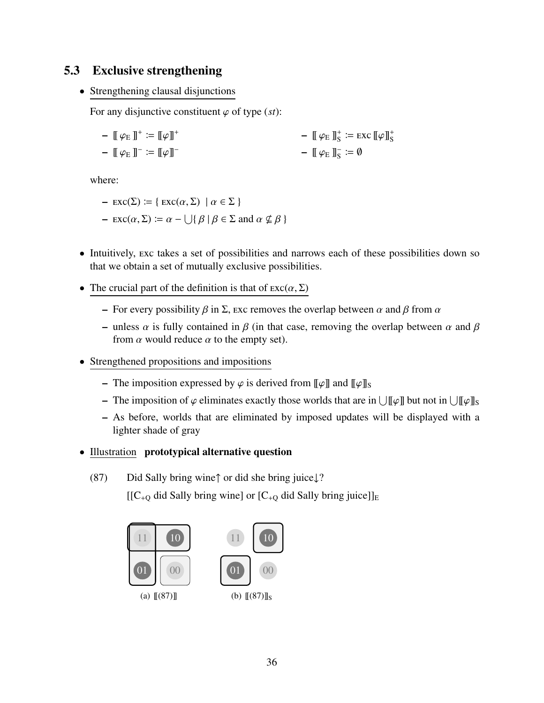# 5.3 Exclusive strengthening

• Strengthening clausal disjunctions

For any disjunctive constituent  $\varphi$  of type (*st*):

 $\left[\!\left[\right]\varphi_{E}\right]\!\right]^+$   $:=$   $\left[\!\left[\varphi\right]\!\right]^+$  $\left[\phi_{E}\right]^{-} \coloneqq \left[\phi\right]^{-}$  $\left[\!\left[ \varphi_{E}\right] \!\right]_{S}^{+} \coloneqq \text{exc}\left[\!\left[ \varphi\right] \!\right]_{S}^{+}$  $\left[\!\left[\right]\varphi_{E}\right]\!\right]_{S}^{\sim} := \emptyset$ 

where:

- $\text{exc}(\Sigma) := \{ \text{exc}(\alpha, \Sigma) \mid \alpha \in \Sigma \}$
- $-$  Exc( $\alpha$ ,  $\Sigma$ ) :=  $\alpha$   $\bigcup$ { $\beta$  |  $\beta$   $\in$   $\Sigma$  and  $\alpha \nsubseteq \beta$  }
- Intuitively, exc takes a set of possibilities and narrows each of these possibilities down so that we obtain a set of mutually exclusive possibilities.
- The crucial part of the definition is that of  $\text{exc}(\alpha, \Sigma)$ 
	- For every possibility  $\beta$  in  $\Sigma$ , exc removes the overlap between  $\alpha$  and  $\beta$  from  $\alpha$
	- unless  $\alpha$  is fully contained in  $\beta$  (in that case, removing the overlap between  $\alpha$  and  $\beta$ from  $\alpha$  would reduce  $\alpha$  to the empty set).
- Strengthened propositions and impositions
	- The imposition expressed by  $\varphi$  is derived from  $\llbracket \varphi \rrbracket$  and  $\llbracket \varphi \rrbracket$ s
	- The imposition of  $\varphi$  eliminates exactly those worlds that are in  $\bigcup [\![\varphi]\!]$  but not in  $\bigcup [\![\varphi]\!]_S$
	- As before, worlds that are eliminated by imposed updates will be displayed with a lighter shade of gray
- Illustration prototypical alternative question
	- (87) Did Sally bring wine↑ or did she bring juice↓?

 $[[C_{+Q}$  did Sally bring wine] or  $[C_{+Q}$  did Sally bring juice]]<sub>E</sub>

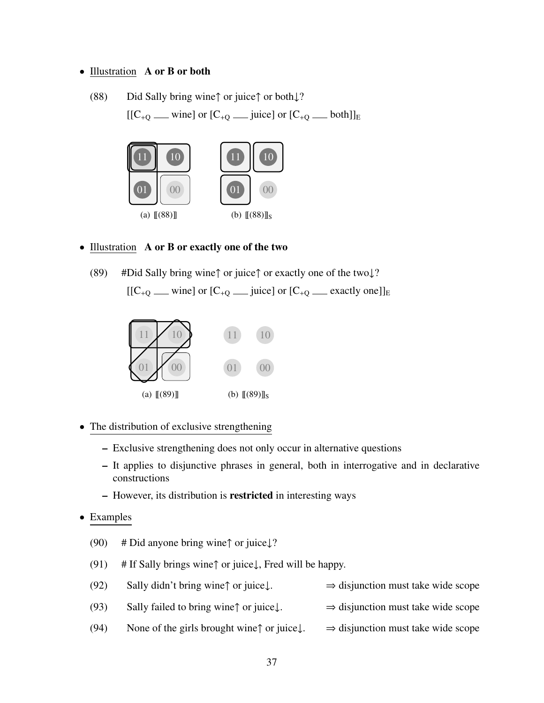#### • Illustration A or B or both

(88) Did Sally bring wine↑ or juice↑ or both↓? [[C<sup>+</sup><sup>Q</sup> wine] or [C<sup>+</sup><sup>Q</sup> juice] or [C<sup>+</sup><sup>Q</sup> both]]<sup>E</sup>



#### • Illustration A or B or exactly one of the two

(89) #Did Sally bring wine↑ or juice↑ or exactly one of the two↓?  $[[C_{+Q} \text{ ]} \text{ or } [C_{+Q} \text{ ]} \text{ or } [C_{+Q} \text{ ]} \text{ or } [C_{+Q} \text{ ]} \text{ }$  exactly one]]<sub>E</sub>



- The distribution of exclusive strengthening
	- Exclusive strengthening does not only occur in alternative questions
	- It applies to disjunctive phrases in general, both in interrogative and in declarative constructions
	- However, its distribution is restricted in interesting ways
- Examples
	- (90) # Did anyone bring wine $\uparrow$  or juice $\downarrow$ ?
	- (91) # If Sally brings wine $\uparrow$  or juice $\downarrow$ , Fred will be happy.
	- (92) Sally didn't bring wine↑ or juice↓.  $\Rightarrow$  disjunction must take wide scope
	- (93) Sally failed to bring wine↑ or juice↓.  $\Rightarrow$  disjunction must take wide scope
	- (94) None of the girls brought wine↑ or juice $\downarrow$ .  $\Rightarrow$  disjunction must take wide scope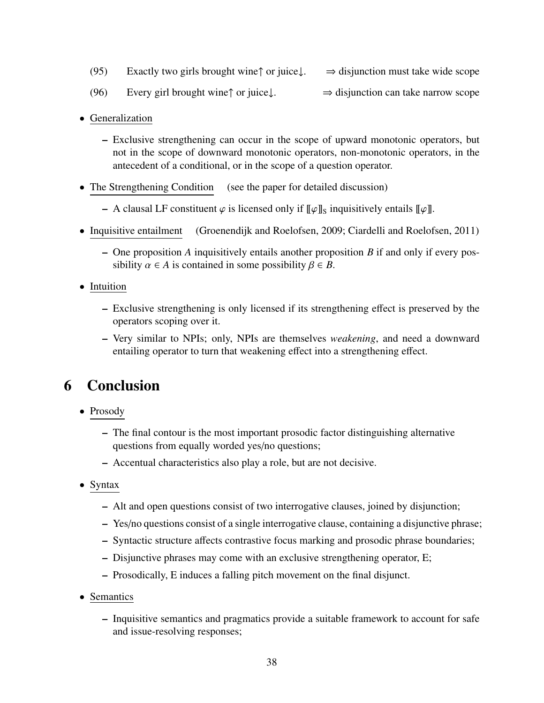- (95) Exactly two girls brought wine↑ or juice $\downarrow$ .  $\Rightarrow$  disjunction must take wide scope
- (96) Every girl brought wine↑ or juice↓.  $\Rightarrow$  disjunction can take narrow scope
- Generalization
	- Exclusive strengthening can occur in the scope of upward monotonic operators, but not in the scope of downward monotonic operators, non-monotonic operators, in the antecedent of a conditional, or in the scope of a question operator.
- The Strengthening Condition (see the paper for detailed discussion)
	- A clausal LF constituent  $\varphi$  is licensed only if  $\llbracket \varphi \rrbracket_S$  inquisitively entails  $\llbracket \varphi \rrbracket$ .
- Inquisitive entailment (Groenendijk and Roelofsen, 2009; Ciardelli and Roelofsen, 2011)
	- One proposition *A* inquisitively entails another proposition *B* if and only if every possibility  $\alpha \in A$  is contained in some possibility  $\beta \in B$ .
- Intuition
	- Exclusive strengthening is only licensed if its strengthening effect is preserved by the operators scoping over it.
	- Very similar to NPIs; only, NPIs are themselves *weakening*, and need a downward entailing operator to turn that weakening effect into a strengthening effect.

# 6 Conclusion

- Prosody
	- The final contour is the most important prosodic factor distinguishing alternative questions from equally worded yes/no questions;
	- Accentual characteristics also play a role, but are not decisive.
- Syntax
	- Alt and open questions consist of two interrogative clauses, joined by disjunction;
	- Yes/no questions consist of a single interrogative clause, containing a disjunctive phrase;
	- Syntactic structure affects contrastive focus marking and prosodic phrase boundaries;
	- Disjunctive phrases may come with an exclusive strengthening operator, E;
	- Prosodically, E induces a falling pitch movement on the final disjunct.
- Semantics
	- Inquisitive semantics and pragmatics provide a suitable framework to account for safe and issue-resolving responses;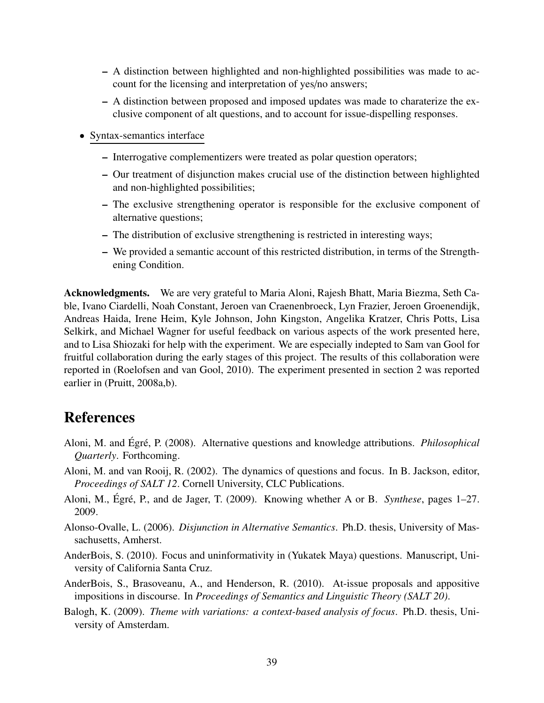- A distinction between highlighted and non-highlighted possibilities was made to account for the licensing and interpretation of yes/no answers;
- A distinction between proposed and imposed updates was made to charaterize the exclusive component of alt questions, and to account for issue-dispelling responses.
- Syntax-semantics interface
	- Interrogative complementizers were treated as polar question operators;
	- Our treatment of disjunction makes crucial use of the distinction between highlighted and non-highlighted possibilities;
	- The exclusive strengthening operator is responsible for the exclusive component of alternative questions;
	- The distribution of exclusive strengthening is restricted in interesting ways;
	- We provided a semantic account of this restricted distribution, in terms of the Strengthening Condition.

Acknowledgments. We are very grateful to Maria Aloni, Rajesh Bhatt, Maria Biezma, Seth Cable, Ivano Ciardelli, Noah Constant, Jeroen van Craenenbroeck, Lyn Frazier, Jeroen Groenendijk, Andreas Haida, Irene Heim, Kyle Johnson, John Kingston, Angelika Kratzer, Chris Potts, Lisa Selkirk, and Michael Wagner for useful feedback on various aspects of the work presented here, and to Lisa Shiozaki for help with the experiment. We are especially indepted to Sam van Gool for fruitful collaboration during the early stages of this project. The results of this collaboration were reported in (Roelofsen and van Gool, 2010). The experiment presented in section 2 was reported earlier in (Pruitt, 2008a,b).

# References

- Aloni, M. and Égré, P. (2008). Alternative questions and knowledge attributions. *Philosophical Quarterly*. Forthcoming.
- Aloni, M. and van Rooij, R. (2002). The dynamics of questions and focus. In B. Jackson, editor, *Proceedings of SALT 12*. Cornell University, CLC Publications.
- Aloni, M., Égré, P., and de Jager, T. (2009). Knowing whether A or B. *Synthese*, pages 1–27. 2009.
- Alonso-Ovalle, L. (2006). *Disjunction in Alternative Semantics*. Ph.D. thesis, University of Massachusetts, Amherst.
- AnderBois, S. (2010). Focus and uninformativity in (Yukatek Maya) questions. Manuscript, University of California Santa Cruz.
- AnderBois, S., Brasoveanu, A., and Henderson, R. (2010). At-issue proposals and appositive impositions in discourse. In *Proceedings of Semantics and Linguistic Theory (SALT 20)*.
- Balogh, K. (2009). *Theme with variations: a context-based analysis of focus*. Ph.D. thesis, University of Amsterdam.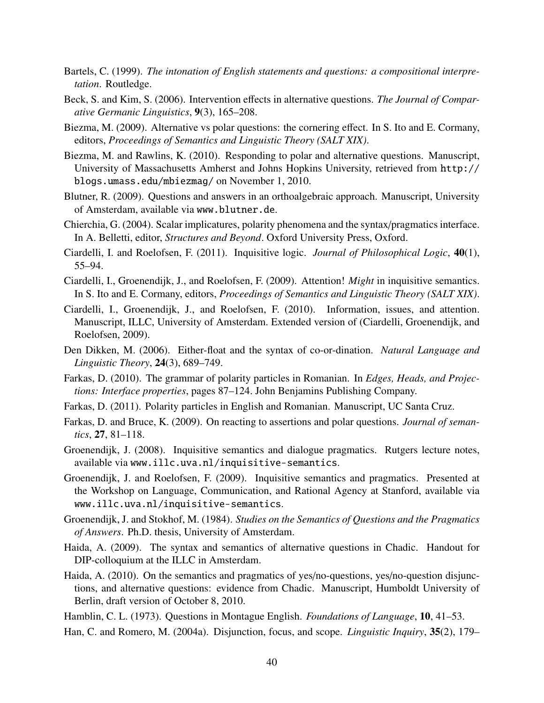- Bartels, C. (1999). *The intonation of English statements and questions: a compositional interpretation*. Routledge.
- Beck, S. and Kim, S. (2006). Intervention effects in alternative questions. *The Journal of Comparative Germanic Linguistics*, 9(3), 165–208.
- Biezma, M. (2009). Alternative vs polar questions: the cornering effect. In S. Ito and E. Cormany, editors, *Proceedings of Semantics and Linguistic Theory (SALT XIX)*.
- Biezma, M. and Rawlins, K. (2010). Responding to polar and alternative questions. Manuscript, University of Massachusetts Amherst and Johns Hopkins University, retrieved from http:// blogs.umass.edu/mbiezmag/ on November 1, 2010.
- Blutner, R. (2009). Questions and answers in an orthoalgebraic approach. Manuscript, University of Amsterdam, available via www.blutner.de.
- Chierchia, G. (2004). Scalar implicatures, polarity phenomena and the syntax/pragmatics interface. In A. Belletti, editor, *Structures and Beyond*. Oxford University Press, Oxford.
- Ciardelli, I. and Roelofsen, F. (2011). Inquisitive logic. *Journal of Philosophical Logic*, 40(1), 55–94.
- Ciardelli, I., Groenendijk, J., and Roelofsen, F. (2009). Attention! *Might* in inquisitive semantics. In S. Ito and E. Cormany, editors, *Proceedings of Semantics and Linguistic Theory (SALT XIX)*.
- Ciardelli, I., Groenendijk, J., and Roelofsen, F. (2010). Information, issues, and attention. Manuscript, ILLC, University of Amsterdam. Extended version of (Ciardelli, Groenendijk, and Roelofsen, 2009).
- Den Dikken, M. (2006). Either-float and the syntax of co-or-dination. *Natural Language and Linguistic Theory*, 24(3), 689–749.
- Farkas, D. (2010). The grammar of polarity particles in Romanian. In *Edges, Heads, and Projections: Interface properties*, pages 87–124. John Benjamins Publishing Company.
- Farkas, D. (2011). Polarity particles in English and Romanian. Manuscript, UC Santa Cruz.
- Farkas, D. and Bruce, K. (2009). On reacting to assertions and polar questions. *Journal of semantics*, 27, 81–118.
- Groenendijk, J. (2008). Inquisitive semantics and dialogue pragmatics. Rutgers lecture notes, available via www.illc.uva.nl/inquisitive-semantics.
- Groenendijk, J. and Roelofsen, F. (2009). Inquisitive semantics and pragmatics. Presented at the Workshop on Language, Communication, and Rational Agency at Stanford, available via www.illc.uva.nl/inquisitive-semantics.
- Groenendijk, J. and Stokhof, M. (1984). *Studies on the Semantics of Questions and the Pragmatics of Answers*. Ph.D. thesis, University of Amsterdam.
- Haida, A. (2009). The syntax and semantics of alternative questions in Chadic. Handout for DIP-colloquium at the ILLC in Amsterdam.
- Haida, A. (2010). On the semantics and pragmatics of yes/no-questions, yes/no-question disjunctions, and alternative questions: evidence from Chadic. Manuscript, Humboldt University of Berlin, draft version of October 8, 2010.
- Hamblin, C. L. (1973). Questions in Montague English. *Foundations of Language*, 10, 41–53.
- Han, C. and Romero, M. (2004a). Disjunction, focus, and scope. *Linguistic Inquiry*, 35(2), 179–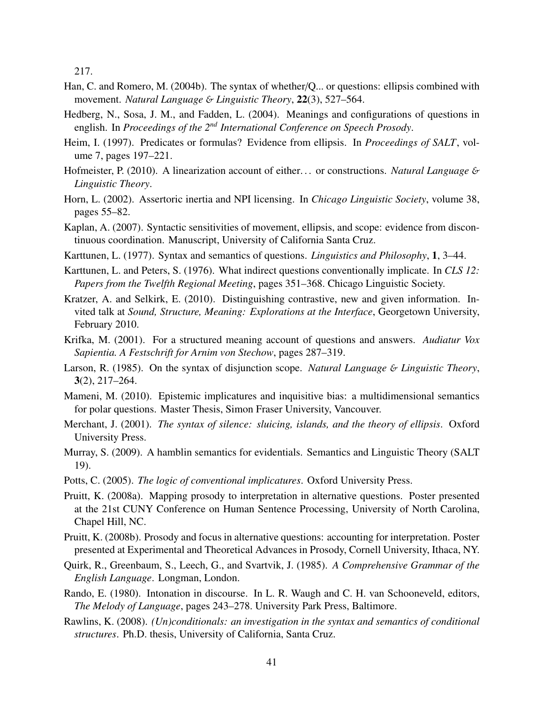217.

- Han, C. and Romero, M. (2004b). The syntax of whether/Q... or questions: ellipsis combined with movement. *Natural Language* & *Linguistic Theory*, 22(3), 527–564.
- Hedberg, N., Sosa, J. M., and Fadden, L. (2004). Meanings and configurations of questions in english. In *Proceedings of the 2nd International Conference on Speech Prosody*.
- Heim, I. (1997). Predicates or formulas? Evidence from ellipsis. In *Proceedings of SALT*, volume 7, pages 197–221.
- Hofmeister, P. (2010). A linearization account of either. . . or constructions. *Natural Language* & *Linguistic Theory*.
- Horn, L. (2002). Assertoric inertia and NPI licensing. In *Chicago Linguistic Society*, volume 38, pages 55–82.
- Kaplan, A. (2007). Syntactic sensitivities of movement, ellipsis, and scope: evidence from discontinuous coordination. Manuscript, University of California Santa Cruz.
- Karttunen, L. (1977). Syntax and semantics of questions. *Linguistics and Philosophy*, 1, 3–44.
- Karttunen, L. and Peters, S. (1976). What indirect questions conventionally implicate. In *CLS 12: Papers from the Twelfth Regional Meeting*, pages 351–368. Chicago Linguistic Society.
- Kratzer, A. and Selkirk, E. (2010). Distinguishing contrastive, new and given information. Invited talk at *Sound, Structure, Meaning: Explorations at the Interface*, Georgetown University, February 2010.
- Krifka, M. (2001). For a structured meaning account of questions and answers. *Audiatur Vox Sapientia. A Festschrift for Arnim von Stechow*, pages 287–319.
- Larson, R. (1985). On the syntax of disjunction scope. *Natural Language* & *Linguistic Theory*, 3(2), 217–264.
- Mameni, M. (2010). Epistemic implicatures and inquisitive bias: a multidimensional semantics for polar questions. Master Thesis, Simon Fraser University, Vancouver.
- Merchant, J. (2001). *The syntax of silence: sluicing, islands, and the theory of ellipsis*. Oxford University Press.
- Murray, S. (2009). A hamblin semantics for evidentials. Semantics and Linguistic Theory (SALT 19).
- Potts, C. (2005). *The logic of conventional implicatures*. Oxford University Press.
- Pruitt, K. (2008a). Mapping prosody to interpretation in alternative questions. Poster presented at the 21st CUNY Conference on Human Sentence Processing, University of North Carolina, Chapel Hill, NC.
- Pruitt, K. (2008b). Prosody and focus in alternative questions: accounting for interpretation. Poster presented at Experimental and Theoretical Advances in Prosody, Cornell University, Ithaca, NY.
- Quirk, R., Greenbaum, S., Leech, G., and Svartvik, J. (1985). *A Comprehensive Grammar of the English Language*. Longman, London.
- Rando, E. (1980). Intonation in discourse. In L. R. Waugh and C. H. van Schooneveld, editors, *The Melody of Language*, pages 243–278. University Park Press, Baltimore.
- Rawlins, K. (2008). *(Un)conditionals: an investigation in the syntax and semantics of conditional structures*. Ph.D. thesis, University of California, Santa Cruz.